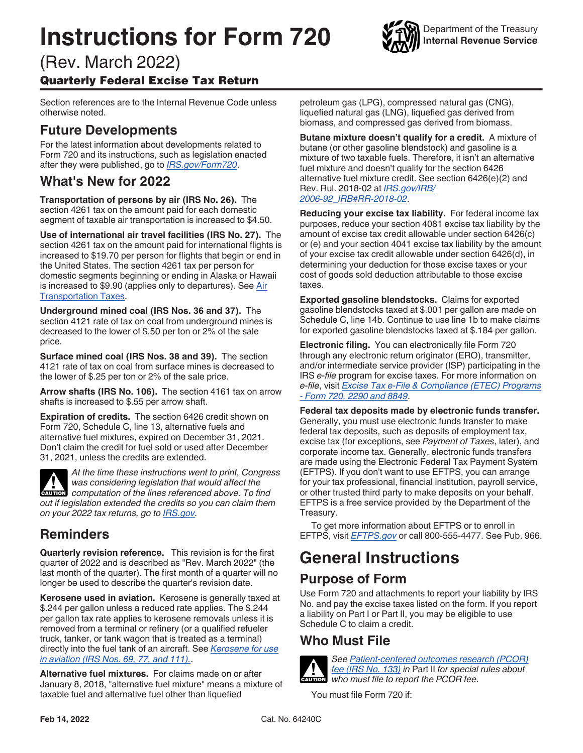# **Instructions for Form 720**



Department of the Treasury **Internal Revenue Service**

## (Rev. March 2022) Quarterly Federal Excise Tax Return

Section references are to the Internal Revenue Code unless otherwise noted.

# **Future Developments**

For the latest information about developments related to Form 720 and its instructions, such as legislation enacted after they were published, go to *[IRS.gov/Form720](https://www.irs.gov/form720)*.

### **What's New for 2022**

**Transportation of persons by air (IRS No. 26).** The section 4261 tax on the amount paid for each domestic segment of taxable air transportation is increased to \$4.50.

**Use of international air travel facilities (IRS No. 27).** The section 4261 tax on the amount paid for international flights is increased to \$19.70 per person for flights that begin or end in the United States. The section 4261 tax per person for domestic segments beginning or ending in Alaska or Hawaii is increased to \$9.90 (applies only to departures). See [Air](#page-3-0)  [Transportation Taxes](#page-3-0).

**Underground mined coal (IRS Nos. 36 and 37).** The section 4121 rate of tax on coal from underground mines is decreased to the lower of \$.50 per ton or 2% of the sale price.

**Surface mined coal (IRS Nos. 38 and 39).** The section 4121 rate of tax on coal from surface mines is decreased to the lower of \$.25 per ton or 2% of the sale price.

**Arrow shafts (IRS No. 106).** The section 4161 tax on arrow shafts is increased to \$.55 per arrow shaft.

**Expiration of credits.** The section 6426 credit shown on Form 720, Schedule C, line 13, alternative fuels and alternative fuel mixtures, expired on December 31, 2021. Don't claim the credit for fuel sold or used after December 31, 2021, unless the credits are extended.



*At the time these instructions went to print, Congress was considering legislation that would affect the*  **Properties and** *computation of the lines referenced above. To find* $\frac{1}{2}$ *out if legislation extended the credits so you can claim them on your 2022 tax returns, go to [IRS.gov.](https://www.irs.gov/)*

# **Reminders**

**Quarterly revision reference.** This revision is for the first quarter of 2022 and is described as "Rev. March 2022" (the last month of the quarter). The first month of a quarter will no longer be used to describe the quarter's revision date.

**Kerosene used in aviation.** Kerosene is generally taxed at \$.244 per gallon unless a reduced rate applies. The \$.244 per gallon tax rate applies to kerosene removals unless it is removed from a terminal or refinery (or a qualified refueler truck, tanker, or tank wagon that is treated as a terminal) directly into the fuel tank of an aircraft. See *[Kerosene for use](#page-4-0)  [in aviation \(IRS Nos. 69, 77, and 111\).](#page-4-0)*.

**Alternative fuel mixtures.** For claims made on or after January 8, 2018, "alternative fuel mixture" means a mixture of taxable fuel and alternative fuel other than liquefied

petroleum gas (LPG), compressed natural gas (CNG), liquefied natural gas (LNG), liquefied gas derived from biomass, and compressed gas derived from biomass.

**Butane mixture doesn't qualify for a credit.** A mixture of butane (or other gasoline blendstock) and gasoline is a mixture of two taxable fuels. Therefore, it isn't an alternative fuel mixture and doesn't qualify for the section 6426 alternative fuel mixture credit. See section 6426(e)(2) and Rev. Rul. 2018-02 at *[IRS.gov/IRB/](https://www.irs.gov/pub/irs-drop/rr-18-02.pdf) [2006-92\\_IRB#RR-2018-02](https://www.irs.gov/pub/irs-drop/rr-18-02.pdf)*.

**Reducing your excise tax liability.** For federal income tax purposes, reduce your section 4081 excise tax liability by the amount of excise tax credit allowable under section 6426(c) or (e) and your section 4041 excise tax liability by the amount of your excise tax credit allowable under section 6426(d), in determining your deduction for those excise taxes or your cost of goods sold deduction attributable to those excise taxes.

**Exported gasoline blendstocks.** Claims for exported gasoline blendstocks taxed at \$.001 per gallon are made on Schedule C, line 14b. Continue to use line 1b to make claims for exported gasoline blendstocks taxed at \$.184 per gallon.

**Electronic filing.** You can electronically file Form 720 through any electronic return originator (ERO), transmitter, and/or intermediate service provider (ISP) participating in the IRS *e-file* program for excise taxes. For more information on *e-file*, visit *[Excise Tax e-File & Compliance \(ETEC\) Programs](https://www.irs.gov/e-file-providers/excise-tax-e-file-compliance-etec-programs-form-720-2290-and-8849)  [- Form 720, 2290 and 8849](https://www.irs.gov/e-file-providers/excise-tax-e-file-compliance-etec-programs-form-720-2290-and-8849)*.

**Federal tax deposits made by electronic funds transfer.**  Generally, you must use electronic funds transfer to make federal tax deposits, such as deposits of employment tax, excise tax (for exceptions, see *Payment of Taxes*, later), and corporate income tax. Generally, electronic funds transfers are made using the Electronic Federal Tax Payment System (EFTPS). If you don't want to use EFTPS, you can arrange for your tax professional, financial institution, payroll service, or other trusted third party to make deposits on your behalf. EFTPS is a free service provided by the Department of the Treasury.

To get more information about EFTPS or to enroll in EFTPS, visit *[EFTPS.gov](https://www.eftps.gov)* or call 800-555-4477. See Pub. 966.

# **General Instructions**

# **Purpose of Form**

Use Form 720 and attachments to report your liability by IRS No. and pay the excise taxes listed on the form. If you report a liability on Part I or Part II, you may be eligible to use Schedule C to claim a credit.

### **Who Must File**



*See [Patient-centered outcomes research \(PCOR\)](#page-7-0) [fee \(IRS No. 133\)](#page-7-0) in* Part II *for special rules about*  **EXECUTE FRAMPLE FOR THE FRAMPLE TO THE THE FRAMPLE TO THE THE PCOR fee.**<br> **CAUTION** Who must file to report the PCOR fee.

You must file Form 720 if: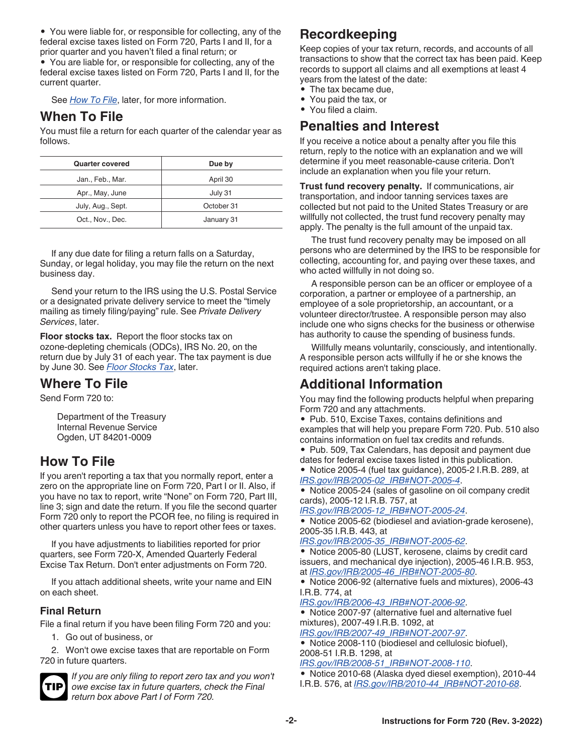<span id="page-1-0"></span>• You were liable for, or responsible for collecting, any of the federal excise taxes listed on Form 720, Parts I and II, for a prior quarter and you haven't filed a final return; or

• You are liable for, or responsible for collecting, any of the federal excise taxes listed on Form 720, Parts I and II, for the current quarter.

See *How To File*, later, for more information.

### **When To File**

You must file a return for each quarter of the calendar year as follows.

| <b>Quarter covered</b> | Due by     |
|------------------------|------------|
| Jan., Feb., Mar.       | April 30   |
| Apr., May, June        | July 31    |
| July, Aug., Sept.      | October 31 |
| Oct., Nov., Dec.       | January 31 |

If any due date for filing a return falls on a Saturday, Sunday, or legal holiday, you may file the return on the next business day.

Send your return to the IRS using the U.S. Postal Service or a designated private delivery service to meet the "timely mailing as timely filing/paying" rule. See *Private Delivery Services*, later.

**Floor stocks tax.** Report the floor stocks tax on ozone-depleting chemicals (ODCs), IRS No. 20, on the return due by July 31 of each year. The tax payment is due by June 30. See *[Floor Stocks Tax](#page-9-0)*, later.

### **Where To File**

Send Form 720 to:

Department of the Treasury Internal Revenue Service Ogden, UT 84201-0009

### **How To File**

If you aren't reporting a tax that you normally report, enter a zero on the appropriate line on Form 720, Part I or II. Also, if you have no tax to report, write "None" on Form 720, Part III, line 3; sign and date the return. If you file the second quarter Form 720 only to report the PCOR fee, no filing is required in other quarters unless you have to report other fees or taxes.

If you have adjustments to liabilities reported for prior quarters, see Form 720-X, Amended Quarterly Federal Excise Tax Return. Don't enter adjustments on Form 720.

If you attach additional sheets, write your name and EIN on each sheet.

### **Final Return**

File a final return if you have been filing Form 720 and you:

1. Go out of business, or

2. Won't owe excise taxes that are reportable on Form 720 in future quarters.



*If you are only filing to report zero tax and you won't owe excise tax in future quarters, check the Final return box above Part I of Form 720.*

# **Recordkeeping**

Keep copies of your tax return, records, and accounts of all transactions to show that the correct tax has been paid. Keep records to support all claims and all exemptions at least 4 years from the latest of the date:

- The tax became due,
- You paid the tax, or
- You filed a claim.

### **Penalties and Interest**

If you receive a notice about a penalty after you file this return, reply to the notice with an explanation and we will determine if you meet reasonable-cause criteria. Don't include an explanation when you file your return.

**Trust fund recovery penalty.** If communications, air transportation, and indoor tanning services taxes are collected but not paid to the United States Treasury or are willfully not collected, the trust fund recovery penalty may apply. The penalty is the full amount of the unpaid tax.

The trust fund recovery penalty may be imposed on all persons who are determined by the IRS to be responsible for collecting, accounting for, and paying over these taxes, and who acted willfully in not doing so.

A responsible person can be an officer or employee of a corporation, a partner or employee of a partnership, an employee of a sole proprietorship, an accountant, or a volunteer director/trustee. A responsible person may also include one who signs checks for the business or otherwise has authority to cause the spending of business funds.

Willfully means voluntarily, consciously, and intentionally. A responsible person acts willfully if he or she knows the required actions aren't taking place.

### **Additional Information**

You may find the following products helpful when preparing Form 720 and any attachments.

• Pub. 510, Excise Taxes, contains definitions and examples that will help you prepare Form 720. Pub. 510 also contains information on fuel tax credits and refunds.

• Pub. 509, Tax Calendars, has deposit and payment due dates for federal excise taxes listed in this publication.

• Notice 2005-4 (fuel tax guidance), 2005-2 I.R.B. 289, at *[IRS.gov/IRB/2005-02\\_IRB#NOT-2005-4](https://www.irs.gov/irb/2005-02_IRB#NOT-2005-4)*.

• Notice 2005-24 (sales of gasoline on oil company credit cards), 2005-12 I.R.B. 757, at

*[IRS.gov/IRB/2005-12\\_IRB#NOT-2005-24](https://www.irs.gov/irb/2005-12_IRB#NOT-2005-24)*.

• Notice 2005-62 (biodiesel and aviation-grade kerosene), 2005-35 I.R.B. 443, at

*[IRS.gov/IRB/2005-35\\_IRB#NOT-2005-62](https://www.irs.gov/irb/2005-35_IRB#NOT-2005-62)*.

• Notice 2005-80 (LUST, kerosene, claims by credit card issuers, and mechanical dye injection), 2005-46 I.R.B. 953, at *[IRS.gov/IRB/2005-46\\_IRB#NOT-2005-80](https://www.irs.gov/irb/2005-46_IRB#NOT-2005-80)*.

• Notice 2006-92 (alternative fuels and mixtures), 2006-43 I.R.B. 774, at

*[IRS.gov/IRB/2006-43\\_IRB#NOT-2006-92](https://www.irs.gov/irb/2006-43_IRB#NOT-2006-92)*.

• Notice 2007-97 (alternative fuel and alternative fuel mixtures), 2007-49 I.R.B. 1092, at *[IRS.gov/IRB/2007-49\\_IRB#NOT-2007-97](https://www.irs.gov/irb/2007-49_IRB#NOT-2007-97)*.

• Notice 2008-110 (biodiesel and cellulosic biofuel), 2008-51 I.R.B. 1298, at

*[IRS.gov/IRB/2008-51\\_IRB#NOT-2008-110](https://www.irs.gov/irb/2008-51_IRB#NOT-2008-110)*. • Notice 2010-68 (Alaska dyed diesel exemption), 2010-44 I.R.B. 576, at *[IRS.gov/IRB/2010-44\\_IRB#NOT-2010-68](https://www.irs.gov/irb/2010-44_IRB#NOT-2010-68)*.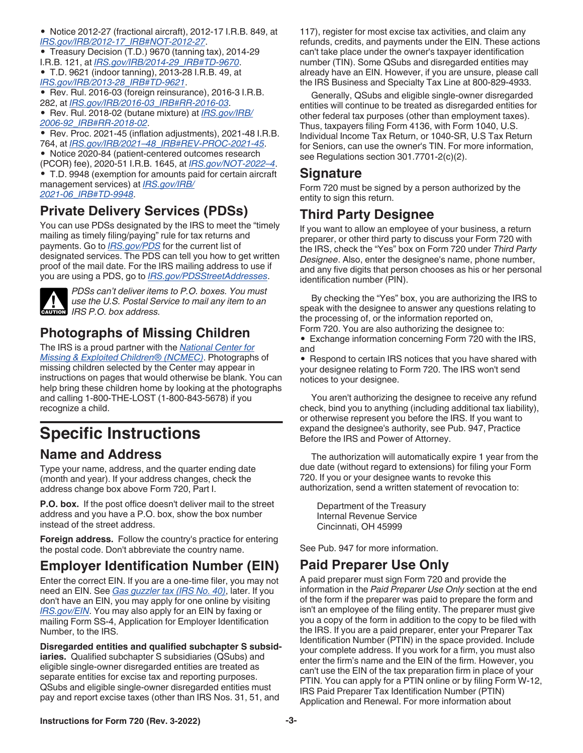<span id="page-2-0"></span>• Notice 2012-27 (fractional aircraft), 2012-17 I.R.B. 849, at *[IRS.gov/IRB/2012-17\\_IRB#NOT-2012-27](https://www.irs.gov/irb/2012-17_IRB#NOT-2012-27)*.

• Treasury Decision (T.D.) 9670 (tanning tax), 2014-29 I.R.B. 121, at *[IRS.gov/IRB/2014-29\\_IRB#TD-9670](https://www.irs.gov/irb/2014-29_IRB#TD-9670)*.

• T.D. 9621 (indoor tanning), 2013-28 I.R.B. 49, at *[IRS.gov/IRB/2013-28\\_IRB#TD-9621](https://www.irs.gov/irb/2013-28_IRB#TD-9621)*.

• Rev. Rul. 2016-03 (foreign reinsurance), 2016-3 I.R.B. 282, at *[IRS.gov/IRB/2016-03\\_IRB#RR-2016-03](https://www.irs.gov/irb/2016-03_IRB#RR-2016-03)*.

• Rev. Rul. 2018-02 (butane mixture) at *[IRS.gov/IRB/](https://www.irs.gov/pub/irs-drop/rr-18-02.pdf) [2006-92\\_IRB#RR-2018-02](https://www.irs.gov/pub/irs-drop/rr-18-02.pdf)*.

• Rev. Proc. 2021-45 (inflation adjustments), 2021-48 I.R.B. 764, at *[IRS.gov/IRB/2021–48\\_IRB#REV-PROC-2021-45](https://www.irs.gov/irb/2021-48_IRB#REV-PROC-2021-45)*. • Notice 2020-84 (patient-centered outcomes research (PCOR) fee), 2020-51 I.R.B. 1645, at *[IRS.gov/NOT-2022–4](https://www.irs.gov/pub/irs-drop/n-22-04.pdf)*. • T.D. 9948 (exemption for amounts paid for certain aircraft management services) at *[IRS.gov/IRB/](https://www.irs.gov/irb/2021-06_IRB#TD-9948) [2021-06\\_IRB#TD-9948](https://www.irs.gov/irb/2021-06_IRB#TD-9948)*.

# **Private Delivery Services (PDSs)**

You can use PDSs designated by the IRS to meet the "timely mailing as timely filing/paying" rule for tax returns and payments. Go to *[IRS.gov/PDS](https://www.irs.gov/pds)* for the current list of designated services. The PDS can tell you how to get written proof of the mail date. For the IRS mailing address to use if you are using a PDS, go to *[IRS.gov/PDSStreetAddresses](https://www.irs.gov/pdsstreetaddresses)*.



*PDSs can't deliver items to P.O. boxes. You must use the U.S. Postal Service to mail any item to an*  **IRS P.O.** box address.

# **Photographs of Missing Children**

The IRS is a proud partner with the *[National Center for](https://www.missingkids.org) [Missing & Exploited Children® \(NCMEC\)](https://www.missingkids.org)*. Photographs of missing children selected by the Center may appear in instructions on pages that would otherwise be blank. You can help bring these children home by looking at the photographs and calling 1-800-THE-LOST (1-800-843-5678) if you recognize a child.

# **Specific Instructions**

### **Name and Address**

Type your name, address, and the quarter ending date (month and year). If your address changes, check the address change box above Form 720, Part I.

**P.O. box.** If the post office doesn't deliver mail to the street address and you have a P.O. box, show the box number instead of the street address.

**Foreign address.** Follow the country's practice for entering the postal code. Don't abbreviate the country name.

# **Employer Identification Number (EIN)**

Enter the correct EIN. If you are a one-time filer, you may not need an EIN. See *[Gas guzzler tax \(IRS No. 40\)](#page-7-0)*, later. If you don't have an EIN, you may apply for one online by visiting *[IRS.gov/EIN](https://www.irs.gov/ein)*. You may also apply for an EIN by faxing or mailing Form SS-4, Application for Employer Identification Number, to the IRS.

**Disregarded entities and qualified subchapter S subsidiaries.** Qualified subchapter S subsidiaries (QSubs) and eligible single-owner disregarded entities are treated as separate entities for excise tax and reporting purposes. QSubs and eligible single-owner disregarded entities must pay and report excise taxes (other than IRS Nos. 31, 51, and

117), register for most excise tax activities, and claim any refunds, credits, and payments under the EIN. These actions can't take place under the owner's taxpayer identification number (TIN). Some QSubs and disregarded entities may already have an EIN. However, if you are unsure, please call the IRS Business and Specialty Tax Line at 800-829-4933.

Generally, QSubs and eligible single-owner disregarded entities will continue to be treated as disregarded entities for other federal tax purposes (other than employment taxes). Thus, taxpayers filing Form 4136, with Form 1040, U.S. Individual Income Tax Return, or 1040-SR, U.S Tax Return for Seniors, can use the owner's TIN. For more information, see Regulations section 301.7701-2(c)(2).

### **Signature**

Form 720 must be signed by a person authorized by the entity to sign this return.

# **Third Party Designee**

If you want to allow an employee of your business, a return preparer, or other third party to discuss your Form 720 with the IRS, check the "Yes" box on Form 720 under *Third Party Designee*. Also, enter the designee's name, phone number, and any five digits that person chooses as his or her personal identification number (PIN).

By checking the "Yes" box, you are authorizing the IRS to speak with the designee to answer any questions relating to the processing of, or the information reported on, Form 720. You are also authorizing the designee to:

• Exchange information concerning Form 720 with the IRS, and

• Respond to certain IRS notices that you have shared with your designee relating to Form 720. The IRS won't send notices to your designee.

You aren't authorizing the designee to receive any refund check, bind you to anything (including additional tax liability), or otherwise represent you before the IRS. If you want to expand the designee's authority, see Pub. 947, Practice Before the IRS and Power of Attorney.

The authorization will automatically expire 1 year from the due date (without regard to extensions) for filing your Form 720. If you or your designee wants to revoke this authorization, send a written statement of revocation to:

Department of the Treasury Internal Revenue Service Cincinnati, OH 45999

See Pub. 947 for more information.

### **Paid Preparer Use Only**

A paid preparer must sign Form 720 and provide the information in the *Paid Preparer Use Only* section at the end of the form if the preparer was paid to prepare the form and isn't an employee of the filing entity. The preparer must give you a copy of the form in addition to the copy to be filed with the IRS. If you are a paid preparer, enter your Preparer Tax Identification Number (PTIN) in the space provided. Include your complete address. If you work for a firm, you must also enter the firm's name and the EIN of the firm. However, you can't use the EIN of the tax preparation firm in place of your PTIN. You can apply for a PTIN online or by filing Form W-12, IRS Paid Preparer Tax Identification Number (PTIN) Application and Renewal. For more information about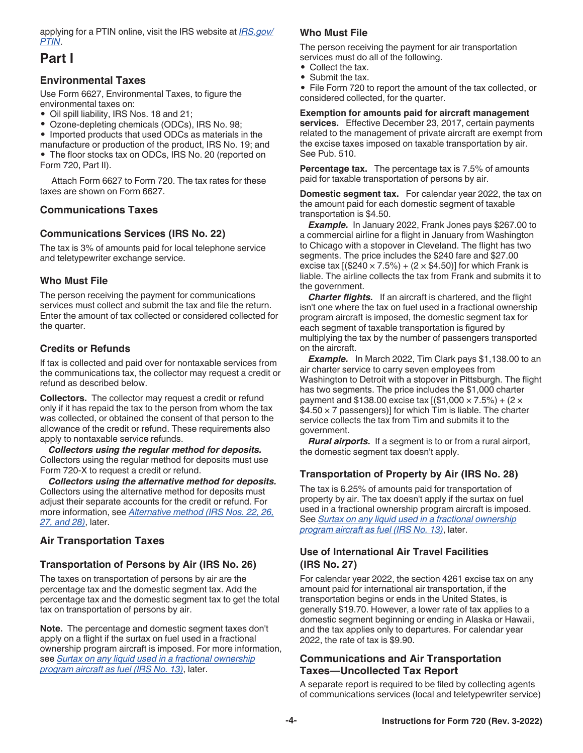<span id="page-3-0"></span>applying for a PTIN online, visit the IRS website at *[IRS.gov/](https://www.irs.gov/ptin) [PTIN](https://www.irs.gov/ptin)*.

### **Part I**

### **Environmental Taxes**

Use Form 6627, Environmental Taxes, to figure the environmental taxes on:

- Oil spill liability, IRS Nos. 18 and 21;
- Ozone-depleting chemicals (ODCs), IRS No. 98;

• Imported products that used ODCs as materials in the manufacture or production of the product, IRS No. 19; and The floor stocks tax on ODCs, IRS No. 20 (reported on Form 720, Part II).

Attach Form 6627 to Form 720. The tax rates for these taxes are shown on Form 6627.

### **Communications Taxes**

### **Communications Services (IRS No. 22)**

The tax is 3% of amounts paid for local telephone service and teletypewriter exchange service.

### **Who Must File**

The person receiving the payment for communications services must collect and submit the tax and file the return. Enter the amount of tax collected or considered collected for the quarter.

### **Credits or Refunds**

If tax is collected and paid over for nontaxable services from the communications tax, the collector may request a credit or refund as described below.

**Collectors.** The collector may request a credit or refund only if it has repaid the tax to the person from whom the tax was collected, or obtained the consent of that person to the allowance of the credit or refund. These requirements also apply to nontaxable service refunds.

*Collectors using the regular method for deposits.*  Collectors using the regular method for deposits must use Form 720-X to request a credit or refund.

*Collectors using the alternative method for deposits.*  Collectors using the alternative method for deposits must adjust their separate accounts for the credit or refund. For more information, see *[Alternative method \(IRS Nos. 22, 26,](#page-10-0)  [27, and 28\)](#page-10-0)*, later.

### **Air Transportation Taxes**

### **Transportation of Persons by Air (IRS No. 26)**

The taxes on transportation of persons by air are the percentage tax and the domestic segment tax. Add the percentage tax and the domestic segment tax to get the total tax on transportation of persons by air.

**Note.** The percentage and domestic segment taxes don't apply on a flight if the surtax on fuel used in a fractional ownership program aircraft is imposed. For more information, see *[Surtax on any liquid used in a fractional ownership](#page-5-0) [program aircraft as fuel \(IRS No. 13\)](#page-5-0)*, later.

### **Who Must File**

The person receiving the payment for air transportation services must do all of the following.

- Collect the tax.
- Submit the tax.

• File Form 720 to report the amount of the tax collected, or considered collected, for the quarter.

#### **Exemption for amounts paid for aircraft management**

**services.** Effective December 23, 2017, certain payments related to the management of private aircraft are exempt from the excise taxes imposed on taxable transportation by air. See Pub. 510.

**Percentage tax.** The percentage tax is 7.5% of amounts paid for taxable transportation of persons by air.

**Domestic segment tax.** For calendar year 2022, the tax on the amount paid for each domestic segment of taxable transportation is \$4.50.

*Example.* In January 2022, Frank Jones pays \$267.00 to a commercial airline for a flight in January from Washington to Chicago with a stopover in Cleveland. The flight has two segments. The price includes the \$240 fare and \$27.00 excise tax  $[(\$240 \times 7.5\%) + (2 \times \$4.50)]$  for which Frank is liable. The airline collects the tax from Frank and submits it to the government.

*Charter flights.* If an aircraft is chartered, and the flight isn't one where the tax on fuel used in a fractional ownership program aircraft is imposed, the domestic segment tax for each segment of taxable transportation is figured by multiplying the tax by the number of passengers transported on the aircraft.

**Example.** In March 2022, Tim Clark pays \$1,138.00 to an air charter service to carry seven employees from Washington to Detroit with a stopover in Pittsburgh. The flight has two segments. The price includes the \$1,000 charter payment and \$138.00 excise tax  $( $1,000 \times 7.5\%) + (2 \times$  $$4.50 \times 7$  passengers)] for which Tim is liable. The charter service collects the tax from Tim and submits it to the government.

*Rural airports.* If a segment is to or from a rural airport, the domestic segment tax doesn't apply.

### **Transportation of Property by Air (IRS No. 28)**

The tax is 6.25% of amounts paid for transportation of property by air. The tax doesn't apply if the surtax on fuel used in a fractional ownership program aircraft is imposed. See *[Surtax on any liquid used in a fractional ownership](#page-5-0)  [program aircraft as fuel \(IRS No. 13\)](#page-5-0)*, later.

### **Use of International Air Travel Facilities (IRS No. 27)**

For calendar year 2022, the section 4261 excise tax on any amount paid for international air transportation, if the transportation begins or ends in the United States, is generally \$19.70. However, a lower rate of tax applies to a domestic segment beginning or ending in Alaska or Hawaii, and the tax applies only to departures. For calendar year 2022, the rate of tax is \$9.90.

### **Communications and Air Transportation Taxes—Uncollected Tax Report**

A separate report is required to be filed by collecting agents of communications services (local and teletypewriter service)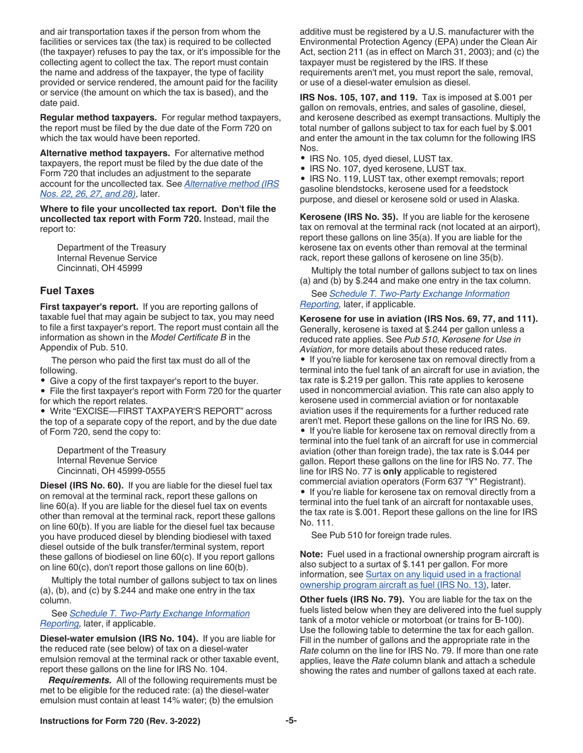<span id="page-4-0"></span>and air transportation taxes if the person from whom the facilities or services tax (the tax) is required to be collected (the taxpayer) refuses to pay the tax, or it's impossible for the collecting agent to collect the tax. The report must contain the name and address of the taxpayer, the type of facility provided or service rendered, the amount paid for the facility or service (the amount on which the tax is based), and the date paid.

**Regular method taxpayers.** For regular method taxpayers, the report must be filed by the due date of the Form 720 on which the tax would have been reported.

**Alternative method taxpayers.** For alternative method taxpayers, the report must be filed by the due date of the Form 720 that includes an adjustment to the separate account for the uncollected tax. See *[Alternative method \(IRS](#page-10-0) [Nos. 22, 26, 27, and 28\)](#page-10-0)*, later.

**Where to file your uncollected tax report. Don't file the uncollected tax report with Form 720.** Instead, mail the report to:

Department of the Treasury Internal Revenue Service Cincinnati, OH 45999

### **Fuel Taxes**

**First taxpayer's report.** If you are reporting gallons of taxable fuel that may again be subject to tax, you may need to file a first taxpayer's report. The report must contain all the information as shown in the *Model Certificate B* in the Appendix of Pub. 510.

The person who paid the first tax must do all of the following.

Give a copy of the first taxpayer's report to the buyer.

• File the first taxpayer's report with Form 720 for the quarter for which the report relates.

• Write "EXCISE—FIRST TAXPAYER'S REPORT" across the top of a separate copy of the report, and by the due date of Form 720, send the copy to:

Department of the Treasury Internal Revenue Service Cincinnati, OH 45999-0555

**Diesel (IRS No. 60).** If you are liable for the diesel fuel tax on removal at the terminal rack, report these gallons on line 60(a). If you are liable for the diesel fuel tax on events other than removal at the terminal rack, report these gallons on line 60(b). If you are liable for the diesel fuel tax because you have produced diesel by blending biodiesel with taxed diesel outside of the bulk transfer/terminal system, report these gallons of biodiesel on line 60(c). If you report gallons on line 60(c), don't report those gallons on line 60(b).

Multiply the total number of gallons subject to tax on lines (a), (b), and (c) by \$.244 and make one entry in the tax column.

See *[Schedule T. Two-Party Exchange Information](#page-11-0)  [Reporting](#page-11-0),* later, if applicable.

**Diesel-water emulsion (IRS No. 104).** If you are liable for the reduced rate (see below) of tax on a diesel-water emulsion removal at the terminal rack or other taxable event, report these gallons on the line for IRS No. 104.

*Requirements.* All of the following requirements must be met to be eligible for the reduced rate: (a) the diesel-water emulsion must contain at least 14% water; (b) the emulsion

additive must be registered by a U.S. manufacturer with the Environmental Protection Agency (EPA) under the Clean Air Act, section 211 (as in effect on March 31, 2003); and (c) the taxpayer must be registered by the IRS. If these requirements aren't met, you must report the sale, removal, or use of a diesel-water emulsion as diesel.

**IRS Nos. 105, 107, and 119.** Tax is imposed at \$.001 per gallon on removals, entries, and sales of gasoline, diesel, and kerosene described as exempt transactions. Multiply the total number of gallons subject to tax for each fuel by \$.001 and enter the amount in the tax column for the following IRS Nos.

- IRS No. 105, dyed diesel, LUST tax.
- IRS No. 107, dyed kerosene, LUST tax.

• IRS No. 119, LUST tax, other exempt removals; report gasoline blendstocks, kerosene used for a feedstock purpose, and diesel or kerosene sold or used in Alaska.

**Kerosene (IRS No. 35).** If you are liable for the kerosene tax on removal at the terminal rack (not located at an airport), report these gallons on line 35(a). If you are liable for the kerosene tax on events other than removal at the terminal rack, report these gallons of kerosene on line 35(b).

Multiply the total number of gallons subject to tax on lines (a) and (b) by \$.244 and make one entry in the tax column.

#### See *[Schedule T. Two-Party Exchange Information](#page-11-0)  [Reporting](#page-11-0),* later, if applicable.

**Kerosene for use in aviation (IRS Nos. 69, 77, and 111).** Generally, kerosene is taxed at \$.244 per gallon unless a reduced rate applies. See *Pub 510, Kerosene for Use in Aviation*, for more details about these reduced rates.

• If you're liable for kerosene tax on removal directly from a terminal into the fuel tank of an aircraft for use in aviation, the tax rate is \$.219 per gallon. This rate applies to kerosene used in noncommercial aviation. This rate can also apply to kerosene used in commercial aviation or for nontaxable aviation uses if the requirements for a further reduced rate aren't met. Report these gallons on the line for IRS No. 69.

• If you're liable for kerosene tax on removal directly from a terminal into the fuel tank of an aircraft for use in commercial aviation (other than foreign trade), the tax rate is \$.044 per gallon. Report these gallons on the line for IRS No. 77. The line for IRS No. 77 is **only** applicable to registered commercial aviation operators (Form 637 "Y" Registrant). • If you're liable for kerosene tax on removal directly from a terminal into the fuel tank of an aircraft for nontaxable uses, the tax rate is \$.001. Report these gallons on the line for IRS No. 111.

See Pub 510 for foreign trade rules.

**Note:** Fuel used in a fractional ownership program aircraft is also subject to a surtax of \$.141 per gallon. For more information, see [Surtax on any liquid used in a fractional](#page-5-0) [ownership program aircraft as fuel \(IRS No. 13\)](#page-5-0), later.

**Other fuels (IRS No. 79).** You are liable for the tax on the fuels listed below when they are delivered into the fuel supply tank of a motor vehicle or motorboat (or trains for B-100). Use the following table to determine the tax for each gallon. Fill in the number of gallons and the appropriate rate in the *Rate* column on the line for IRS No. 79. If more than one rate applies, leave the *Rate* column blank and attach a schedule showing the rates and number of gallons taxed at each rate.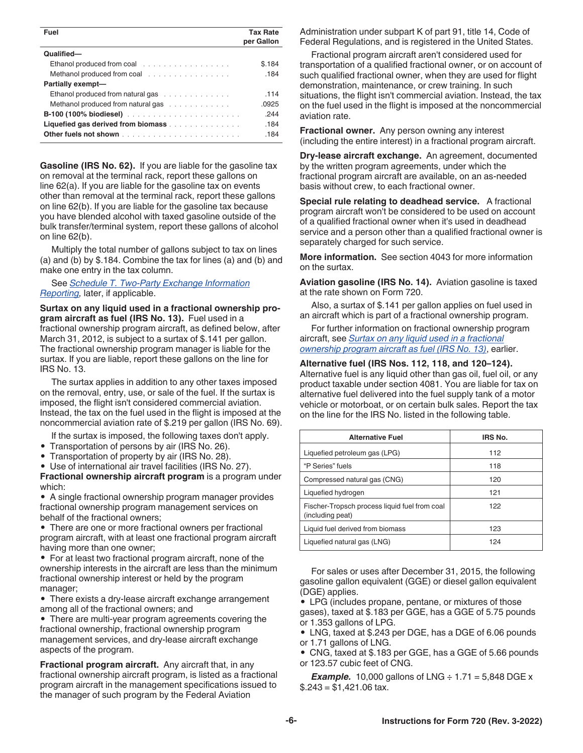<span id="page-5-0"></span>

| <b>Tax Rate</b><br>per Gallon              |
|--------------------------------------------|
|                                            |
| \$.184                                     |
| .184                                       |
|                                            |
| .114                                       |
| .0925                                      |
| .244                                       |
| Liquefied gas derived from biomass<br>.184 |
| .184                                       |
|                                            |

**Gasoline (IRS No. 62).** If you are liable for the gasoline tax on removal at the terminal rack, report these gallons on line 62(a). If you are liable for the gasoline tax on events other than removal at the terminal rack, report these gallons on line 62(b). If you are liable for the gasoline tax because you have blended alcohol with taxed gasoline outside of the bulk transfer/terminal system, report these gallons of alcohol on line 62(b).

Multiply the total number of gallons subject to tax on lines (a) and (b) by \$.184. Combine the tax for lines (a) and (b) and make one entry in the tax column.

#### See *[Schedule T. Two-Party Exchange Information](#page-11-0)  [Reporting](#page-11-0),* later, if applicable.

**Surtax on any liquid used in a fractional ownership program aircraft as fuel (IRS No. 13).** Fuel used in a fractional ownership program aircraft, as defined below, after March 31, 2012, is subject to a surtax of \$.141 per gallon. The fractional ownership program manager is liable for the surtax. If you are liable, report these gallons on the line for IRS No. 13.

The surtax applies in addition to any other taxes imposed on the removal, entry, use, or sale of the fuel. If the surtax is imposed, the flight isn't considered commercial aviation. Instead, the tax on the fuel used in the flight is imposed at the noncommercial aviation rate of \$.219 per gallon (IRS No. 69).

- If the surtax is imposed, the following taxes don't apply.
- Transportation of persons by air (IRS No. 26).
- Transportation of property by air (IRS No. 28).
- Use of international air travel facilities (IRS No. 27).

**Fractional ownership aircraft program** is a program under which:

• A single fractional ownership program manager provides fractional ownership program management services on behalf of the fractional owners;

• There are one or more fractional owners per fractional program aircraft, with at least one fractional program aircraft having more than one owner;

• For at least two fractional program aircraft, none of the ownership interests in the aircraft are less than the minimum fractional ownership interest or held by the program manager;

• There exists a dry-lease aircraft exchange arrangement among all of the fractional owners; and

• There are multi-year program agreements covering the fractional ownership, fractional ownership program management services, and dry-lease aircraft exchange aspects of the program.

**Fractional program aircraft.** Any aircraft that, in any fractional ownership aircraft program, is listed as a fractional program aircraft in the management specifications issued to the manager of such program by the Federal Aviation

Administration under subpart K of part 91, title 14, Code of Federal Regulations, and is registered in the United States.

Fractional program aircraft aren't considered used for transportation of a qualified fractional owner, or on account of such qualified fractional owner, when they are used for flight demonstration, maintenance, or crew training. In such situations, the flight isn't commercial aviation. Instead, the tax on the fuel used in the flight is imposed at the noncommercial aviation rate.

**Fractional owner.** Any person owning any interest (including the entire interest) in a fractional program aircraft.

**Dry-lease aircraft exchange.** An agreement, documented by the written program agreements, under which the fractional program aircraft are available, on an as-needed basis without crew, to each fractional owner.

**Special rule relating to deadhead service.** A fractional program aircraft won't be considered to be used on account of a qualified fractional owner when it's used in deadhead service and a person other than a qualified fractional owner is separately charged for such service.

**More information.** See section 4043 for more information on the surtax.

**Aviation gasoline (IRS No. 14).** Aviation gasoline is taxed at the rate shown on Form 720.

Also, a surtax of \$.141 per gallon applies on fuel used in an aircraft which is part of a fractional ownership program.

For further information on fractional ownership program aircraft, see *Surtax on any liquid used in a fractional ownership program aircraft as fuel (IRS No. 13)*, earlier.

#### **Alternative fuel (IRS Nos. 112, 118, and 120–124).**

Alternative fuel is any liquid other than gas oil, fuel oil, or any product taxable under section 4081. You are liable for tax on alternative fuel delivered into the fuel supply tank of a motor vehicle or motorboat, or on certain bulk sales. Report the tax on the line for the IRS No. listed in the following table.

| <b>Alternative Fuel</b>                                           | IRS No. |
|-------------------------------------------------------------------|---------|
| Liquefied petroleum gas (LPG)                                     | 112     |
| "P Series" fuels                                                  | 118     |
| Compressed natural gas (CNG)                                      | 120     |
| Liquefied hydrogen                                                | 121     |
| Fischer-Tropsch process liquid fuel from coal<br>(including peat) | 122     |
| Liquid fuel derived from biomass                                  | 123     |
| Liquefied natural gas (LNG)                                       | 124     |

For sales or uses after December 31, 2015, the following gasoline gallon equivalent (GGE) or diesel gallon equivalent (DGE) applies.

• LPG (includes propane, pentane, or mixtures of those gases), taxed at \$.183 per GGE, has a GGE of 5.75 pounds or 1.353 gallons of LPG.

• LNG, taxed at \$.243 per DGE, has a DGE of 6.06 pounds or 1.71 gallons of LNG.

• CNG, taxed at \$.183 per GGE, has a GGE of 5.66 pounds or 123.57 cubic feet of CNG.

*Example.* 10,000 gallons of LNG  $\div$  1.71 = 5,848 DGE x  $$.243 = $1,421.06$  tax.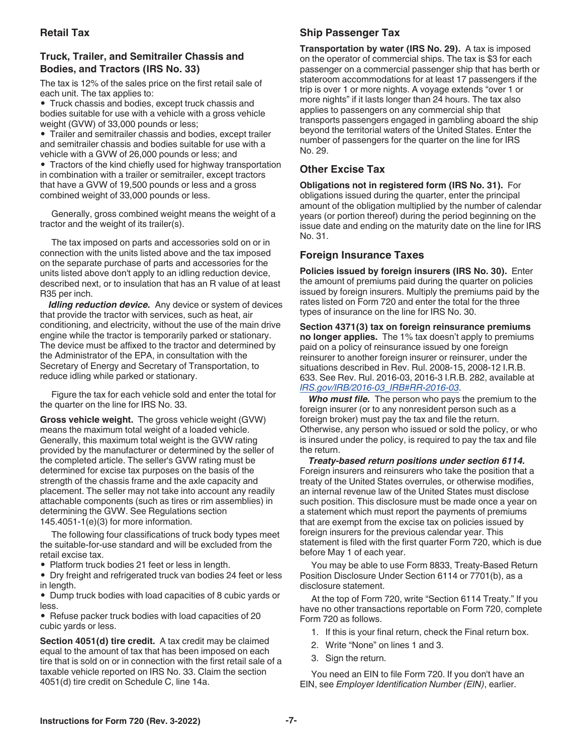### <span id="page-6-0"></span>**Retail Tax**

### **Truck, Trailer, and Semitrailer Chassis and Bodies, and Tractors (IRS No. 33)**

The tax is 12% of the sales price on the first retail sale of each unit. The tax applies to:

• Truck chassis and bodies, except truck chassis and bodies suitable for use with a vehicle with a gross vehicle weight (GVW) of 33,000 pounds or less;

• Trailer and semitrailer chassis and bodies, except trailer and semitrailer chassis and bodies suitable for use with a vehicle with a GVW of 26,000 pounds or less; and

• Tractors of the kind chiefly used for highway transportation in combination with a trailer or semitrailer, except tractors that have a GVW of 19,500 pounds or less and a gross combined weight of 33,000 pounds or less.

Generally, gross combined weight means the weight of a tractor and the weight of its trailer(s).

The tax imposed on parts and accessories sold on or in connection with the units listed above and the tax imposed on the separate purchase of parts and accessories for the units listed above don't apply to an idling reduction device, described next, or to insulation that has an R value of at least R35 per inch.

**Idling reduction device.** Any device or system of devices that provide the tractor with services, such as heat, air conditioning, and electricity, without the use of the main drive engine while the tractor is temporarily parked or stationary. The device must be affixed to the tractor and determined by the Administrator of the EPA, in consultation with the Secretary of Energy and Secretary of Transportation, to reduce idling while parked or stationary.

Figure the tax for each vehicle sold and enter the total for the quarter on the line for IRS No. 33.

**Gross vehicle weight.** The gross vehicle weight (GVW) means the maximum total weight of a loaded vehicle. Generally, this maximum total weight is the GVW rating provided by the manufacturer or determined by the seller of the completed article. The seller's GVW rating must be determined for excise tax purposes on the basis of the strength of the chassis frame and the axle capacity and placement. The seller may not take into account any readily attachable components (such as tires or rim assemblies) in determining the GVW. See Regulations section 145.4051-1(e)(3) for more information.

The following four classifications of truck body types meet the suitable-for-use standard and will be excluded from the retail excise tax.

• Platform truck bodies 21 feet or less in length.

• Dry freight and refrigerated truck van bodies 24 feet or less in length.

• Dump truck bodies with load capacities of 8 cubic yards or less.

• Refuse packer truck bodies with load capacities of 20 cubic yards or less.

**Section 4051(d) tire credit.** A tax credit may be claimed equal to the amount of tax that has been imposed on each tire that is sold on or in connection with the first retail sale of a taxable vehicle reported on IRS No. 33. Claim the section 4051(d) tire credit on Schedule C, line 14a.

### **Ship Passenger Tax**

**Transportation by water (IRS No. 29).** A tax is imposed on the operator of commercial ships. The tax is \$3 for each passenger on a commercial passenger ship that has berth or stateroom accommodations for at least 17 passengers if the trip is over 1 or more nights. A voyage extends "over 1 or more nights" if it lasts longer than 24 hours. The tax also applies to passengers on any commercial ship that transports passengers engaged in gambling aboard the ship beyond the territorial waters of the United States. Enter the number of passengers for the quarter on the line for IRS No. 29.

### **Other Excise Tax**

**Obligations not in registered form (IRS No. 31).** For obligations issued during the quarter, enter the principal amount of the obligation multiplied by the number of calendar years (or portion thereof) during the period beginning on the issue date and ending on the maturity date on the line for IRS No. 31.

### **Foreign Insurance Taxes**

**Policies issued by foreign insurers (IRS No. 30).** Enter the amount of premiums paid during the quarter on policies issued by foreign insurers. Multiply the premiums paid by the rates listed on Form 720 and enter the total for the three types of insurance on the line for IRS No. 30.

**Section 4371(3) tax on foreign reinsurance premiums no longer applies.** The 1% tax doesn't apply to premiums paid on a policy of reinsurance issued by one foreign reinsurer to another foreign insurer or reinsurer, under the situations described in Rev. Rul. 2008-15, 2008-12 I.R.B. 633. See Rev. Rul. 2016-03, 2016-3 I.R.B. 282, available at *[IRS.gov/IRB/2016-03\\_IRB#RR-2016-03](https://www.irs.gov/irb/2016-03_IRB#RR-2016-03)*.

*Who must file.* The person who pays the premium to the foreign insurer (or to any nonresident person such as a foreign broker) must pay the tax and file the return. Otherwise, any person who issued or sold the policy, or who is insured under the policy, is required to pay the tax and file the return.

*Treaty-based return positions under section 6114.*  Foreign insurers and reinsurers who take the position that a treaty of the United States overrules, or otherwise modifies, an internal revenue law of the United States must disclose such position. This disclosure must be made once a year on a statement which must report the payments of premiums that are exempt from the excise tax on policies issued by foreign insurers for the previous calendar year. This statement is filed with the first quarter Form 720, which is due before May 1 of each year.

You may be able to use Form 8833, Treaty-Based Return Position Disclosure Under Section 6114 or 7701(b), as a disclosure statement.

At the top of Form 720, write "Section 6114 Treaty." If you have no other transactions reportable on Form 720, complete Form 720 as follows.

1. If this is your final return, check the Final return box.

- 2. Write "None" on lines 1 and 3.
- 3. Sign the return.

You need an EIN to file Form 720. If you don't have an EIN, see *Employer Identification Number (EIN)*, earlier.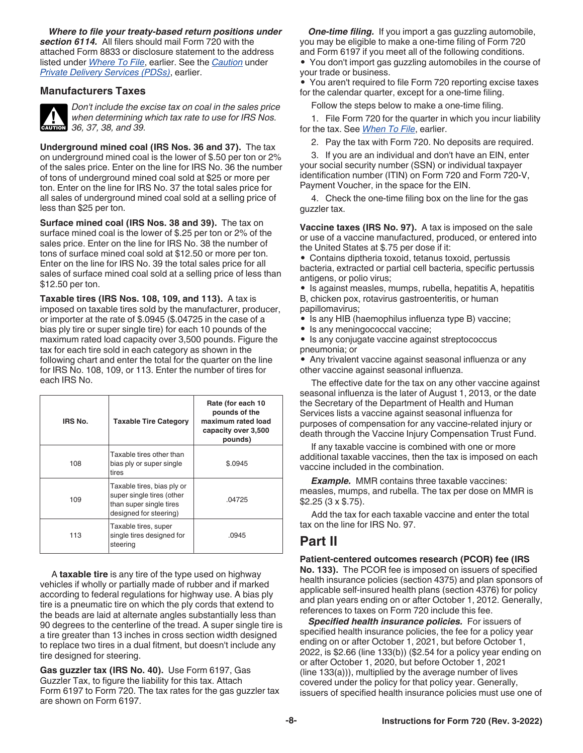<span id="page-7-0"></span>*Where to file your treaty-based return positions under section 6114.* All filers should mail Form 720 with the attached Form 8833 or disclosure statement to the address listed under *[Where To File](#page-1-0)*, earlier. See the *[Caution](#page-2-0)* under *[Private Delivery Services \(PDSs\)](#page-2-0)*, earlier.

#### **Manufacturers Taxes**



*Don't include the excise tax on coal in the sales price when determining which tax rate to use for IRS Nos.*  **cAUTION** 36, 37, 38, and 39.

**Underground mined coal (IRS Nos. 36 and 37).** The tax on underground mined coal is the lower of \$.50 per ton or 2% of the sales price. Enter on the line for IRS No. 36 the number of tons of underground mined coal sold at \$25 or more per ton. Enter on the line for IRS No. 37 the total sales price for all sales of underground mined coal sold at a selling price of less than \$25 per ton.

**Surface mined coal (IRS Nos. 38 and 39).** The tax on surface mined coal is the lower of \$.25 per ton or 2% of the sales price. Enter on the line for IRS No. 38 the number of tons of surface mined coal sold at \$12.50 or more per ton. Enter on the line for IRS No. 39 the total sales price for all sales of surface mined coal sold at a selling price of less than \$12.50 per ton.

**Taxable tires (IRS Nos. 108, 109, and 113).** A tax is imposed on taxable tires sold by the manufacturer, producer, or importer at the rate of \$.0945 (\$.04725 in the case of a bias ply tire or super single tire) for each 10 pounds of the maximum rated load capacity over 3,500 pounds. Figure the tax for each tire sold in each category as shown in the following chart and enter the total for the quarter on the line for IRS No. 108, 109, or 113. Enter the number of tires for each IRS No.

| IRS No. | <b>Taxable Tire Category</b>                                                                                 | Rate (for each 10<br>pounds of the<br>maximum rated load<br>capacity over 3,500<br>pounds) |
|---------|--------------------------------------------------------------------------------------------------------------|--------------------------------------------------------------------------------------------|
| 108     | Taxable tires other than<br>bias ply or super single<br>tires                                                | \$.0945                                                                                    |
| 109     | Taxable tires, bias ply or<br>super single tires (other<br>than super single tires<br>designed for steering) | .04725                                                                                     |
| 113     | Taxable tires, super<br>single tires designed for<br>steering                                                | .0945                                                                                      |

A **taxable tire** is any tire of the type used on highway vehicles if wholly or partially made of rubber and if marked according to federal regulations for highway use. A bias ply tire is a pneumatic tire on which the ply cords that extend to the beads are laid at alternate angles substantially less than 90 degrees to the centerline of the tread. A super single tire is a tire greater than 13 inches in cross section width designed to replace two tires in a dual fitment, but doesn't include any tire designed for steering.

**Gas guzzler tax (IRS No. 40).** Use Form 6197, Gas Guzzler Tax, to figure the liability for this tax. Attach Form 6197 to Form 720. The tax rates for the gas guzzler tax are shown on Form 6197.

*One-time filing.* If you import a gas guzzling automobile, you may be eligible to make a one-time filing of Form 720 and Form 6197 if you meet all of the following conditions.

• You don't import gas guzzling automobiles in the course of your trade or business.

• You aren't required to file Form 720 reporting excise taxes for the calendar quarter, except for a one-time filing.

Follow the steps below to make a one-time filing.

1. File Form 720 for the quarter in which you incur liability for the tax. See *[When To File](#page-1-0)*, earlier.

2. Pay the tax with Form 720. No deposits are required.

3. If you are an individual and don't have an EIN, enter your social security number (SSN) or individual taxpayer identification number (ITIN) on Form 720 and Form 720-V, Payment Voucher, in the space for the EIN.

4. Check the one-time filing box on the line for the gas guzzler tax.

**Vaccine taxes (IRS No. 97).** A tax is imposed on the sale or use of a vaccine manufactured, produced, or entered into the United States at \$.75 per dose if it:

• Contains diptheria toxoid, tetanus toxoid, pertussis bacteria, extracted or partial cell bacteria, specific pertussis antigens, or polio virus;

• Is against measles, mumps, rubella, hepatitis A, hepatitis B, chicken pox, rotavirus gastroenteritis, or human papillomavirus;

• Is any HIB (haemophilus influenza type B) vaccine;

• Is any meningococcal vaccine;

• Is any conjugate vaccine against streptococcus pneumonia; or

• Any trivalent vaccine against seasonal influenza or any other vaccine against seasonal influenza.

The effective date for the tax on any other vaccine against seasonal influenza is the later of August 1, 2013, or the date the Secretary of the Department of Health and Human Services lists a vaccine against seasonal influenza for purposes of compensation for any vaccine-related injury or death through the Vaccine Injury Compensation Trust Fund.

If any taxable vaccine is combined with one or more additional taxable vaccines, then the tax is imposed on each vaccine included in the combination.

*Example.* MMR contains three taxable vaccines: measles, mumps, and rubella. The tax per dose on MMR is \$2.25 (3 x \$.75).

Add the tax for each taxable vaccine and enter the total tax on the line for IRS No. 97.

### **Part II**

**Patient-centered outcomes research (PCOR) fee (IRS No. 133).** The PCOR fee is imposed on issuers of specified health insurance policies (section 4375) and plan sponsors of applicable self-insured health plans (section 4376) for policy and plan years ending on or after October 1, 2012. Generally, references to taxes on Form 720 include this fee.

*Specified health insurance policies.* For issuers of specified health insurance policies, the fee for a policy year ending on or after October 1, 2021, but before October 1, 2022, is \$2.66 (line 133(b)) (\$2.54 for a policy year ending on or after October 1, 2020, but before October 1, 2021 (line 133(a))), multiplied by the average number of lives covered under the policy for that policy year. Generally, issuers of specified health insurance policies must use one of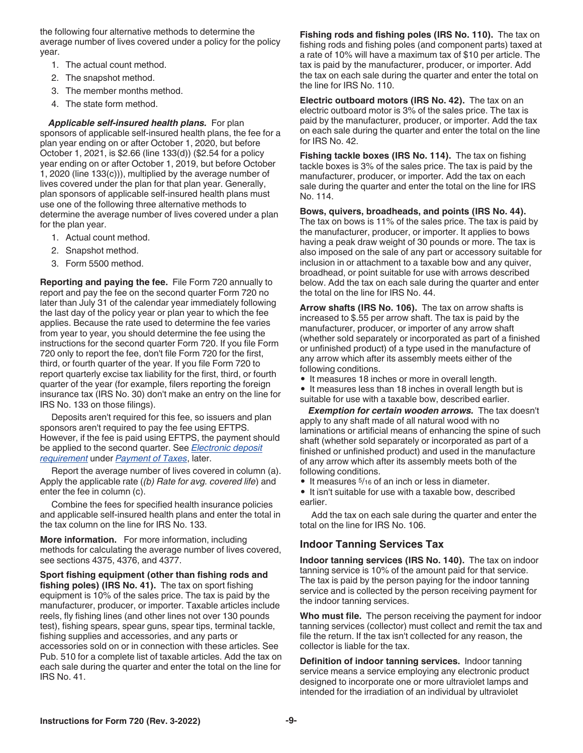<span id="page-8-0"></span>the following four alternative methods to determine the average number of lives covered under a policy for the policy year.

- 1. The actual count method.
- 2. The snapshot method.
- 3. The member months method.
- 4. The state form method.

*Applicable self-insured health plans.* For plan sponsors of applicable self-insured health plans, the fee for a plan year ending on or after October 1, 2020, but before October 1, 2021, is \$2.66 (line 133(d)) (\$2.54 for a policy year ending on or after October 1, 2019, but before October 1, 2020 (line 133(c))), multiplied by the average number of lives covered under the plan for that plan year. Generally, plan sponsors of applicable self-insured health plans must use one of the following three alternative methods to determine the average number of lives covered under a plan for the plan year.

- 1. Actual count method.
- 2. Snapshot method.
- 3. Form 5500 method.

**Reporting and paying the fee.** File Form 720 annually to report and pay the fee on the second quarter Form 720 no later than July 31 of the calendar year immediately following the last day of the policy year or plan year to which the fee applies. Because the rate used to determine the fee varies from year to year, you should determine the fee using the instructions for the second quarter Form 720. If you file Form 720 only to report the fee, don't file Form 720 for the first, third, or fourth quarter of the year. If you file Form 720 to report quarterly excise tax liability for the first, third, or fourth quarter of the year (for example, filers reporting the foreign insurance tax (IRS No. 30) don't make an entry on the line for IRS No. 133 on those filings).

Deposits aren't required for this fee, so issuers and plan sponsors aren't required to pay the fee using EFTPS. However, if the fee is paid using EFTPS, the payment should be applied to the second quarter. See *[Electronic deposit](#page-10-0)  [requirement](#page-10-0)* under *[Payment of Taxes](#page-9-0)*, later.

Report the average number of lives covered in column (a). Apply the applicable rate (*(b) Rate for avg. covered life*) and enter the fee in column (c).

Combine the fees for specified health insurance policies and applicable self-insured health plans and enter the total in the tax column on the line for IRS No. 133.

**More information.** For more information, including methods for calculating the average number of lives covered, see sections 4375, 4376, and 4377.

**Sport fishing equipment (other than fishing rods and fishing poles) (IRS No. 41).** The tax on sport fishing equipment is 10% of the sales price. The tax is paid by the manufacturer, producer, or importer. Taxable articles include reels, fly fishing lines (and other lines not over 130 pounds test), fishing spears, spear guns, spear tips, terminal tackle, fishing supplies and accessories, and any parts or accessories sold on or in connection with these articles. See Pub. 510 for a complete list of taxable articles. Add the tax on each sale during the quarter and enter the total on the line for IRS No. 41.

**Fishing rods and fishing poles (IRS No. 110).** The tax on fishing rods and fishing poles (and component parts) taxed at a rate of 10% will have a maximum tax of \$10 per article. The tax is paid by the manufacturer, producer, or importer. Add the tax on each sale during the quarter and enter the total on the line for IRS No. 110.

**Electric outboard motors (IRS No. 42).** The tax on an electric outboard motor is 3% of the sales price. The tax is paid by the manufacturer, producer, or importer. Add the tax on each sale during the quarter and enter the total on the line for IRS No. 42.

**Fishing tackle boxes (IRS No. 114).** The tax on fishing tackle boxes is 3% of the sales price. The tax is paid by the manufacturer, producer, or importer. Add the tax on each sale during the quarter and enter the total on the line for IRS No. 114.

**Bows, quivers, broadheads, and points (IRS No. 44).** The tax on bows is 11% of the sales price. The tax is paid by the manufacturer, producer, or importer. It applies to bows having a peak draw weight of 30 pounds or more. The tax is also imposed on the sale of any part or accessory suitable for inclusion in or attachment to a taxable bow and any quiver, broadhead, or point suitable for use with arrows described below. Add the tax on each sale during the quarter and enter the total on the line for IRS No. 44.

**Arrow shafts (IRS No. 106).** The tax on arrow shafts is increased to \$.55 per arrow shaft. The tax is paid by the manufacturer, producer, or importer of any arrow shaft (whether sold separately or incorporated as part of a finished or unfinished product) of a type used in the manufacture of any arrow which after its assembly meets either of the following conditions.

• It measures 18 inches or more in overall length.

• It measures less than 18 inches in overall length but is suitable for use with a taxable bow, described earlier.

*Exemption for certain wooden arrows.* The tax doesn't apply to any shaft made of all natural wood with no laminations or artificial means of enhancing the spine of such shaft (whether sold separately or incorporated as part of a finished or unfinished product) and used in the manufacture of any arrow which after its assembly meets both of the following conditions.

• It measures 5/16 of an inch or less in diameter.

• It isn't suitable for use with a taxable bow, described earlier.

Add the tax on each sale during the quarter and enter the total on the line for IRS No. 106.

### **Indoor Tanning Services Tax**

**Indoor tanning services (IRS No. 140).** The tax on indoor tanning service is 10% of the amount paid for that service. The tax is paid by the person paying for the indoor tanning service and is collected by the person receiving payment for the indoor tanning services.

**Who must file.** The person receiving the payment for indoor tanning services (collector) must collect and remit the tax and file the return. If the tax isn't collected for any reason, the collector is liable for the tax.

**Definition of indoor tanning services.** Indoor tanning service means a service employing any electronic product designed to incorporate one or more ultraviolet lamps and intended for the irradiation of an individual by ultraviolet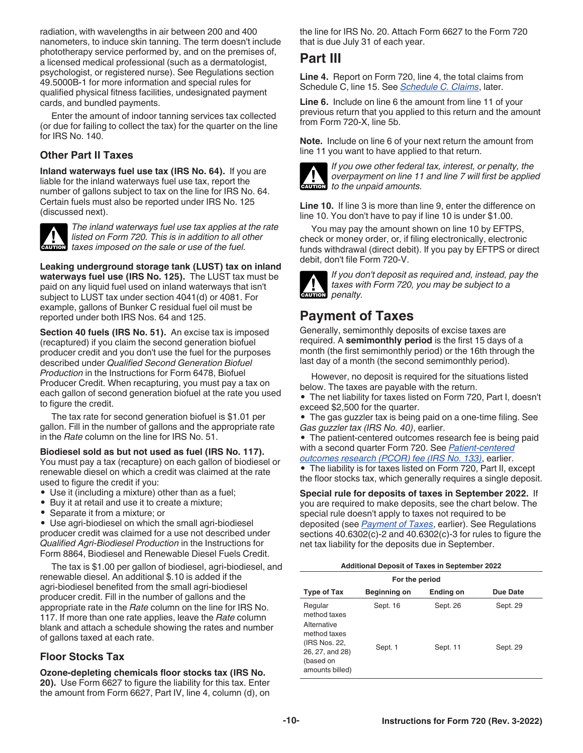<span id="page-9-0"></span>radiation, with wavelengths in air between 200 and 400 nanometers, to induce skin tanning. The term doesn't include phototherapy service performed by, and on the premises of, a licensed medical professional (such as a dermatologist, psychologist, or registered nurse). See Regulations section 49.5000B-1 for more information and special rules for qualified physical fitness facilities, undesignated payment cards, and bundled payments.

Enter the amount of indoor tanning services tax collected (or due for failing to collect the tax) for the quarter on the line for IRS No. 140.

### **Other Part II Taxes**

**Inland waterways fuel use tax (IRS No. 64).** If you are liable for the inland waterways fuel use tax, report the number of gallons subject to tax on the line for IRS No. 64. Certain fuels must also be reported under IRS No. 125 (discussed next).



*The inland waterways fuel use tax applies at the rate listed on Form 720. This is in addition to all other taxes imposed on the sale or use of the fuel.*<br> **CAUTION** taxes imposed on the sale or use of the fuel.

**Leaking underground storage tank (LUST) tax on inland waterways fuel use (IRS No. 125).** The LUST tax must be paid on any liquid fuel used on inland waterways that isn't subject to LUST tax under section 4041(d) or 4081. For example, gallons of Bunker C residual fuel oil must be reported under both IRS Nos. 64 and 125.

**Section 40 fuels (IRS No. 51).** An excise tax is imposed (recaptured) if you claim the second generation biofuel producer credit and you don't use the fuel for the purposes described under *Qualified Second Generation Biofuel Production* in the Instructions for Form 6478, Biofuel Producer Credit. When recapturing, you must pay a tax on each gallon of second generation biofuel at the rate you used to figure the credit.

The tax rate for second generation biofuel is \$1.01 per gallon. Fill in the number of gallons and the appropriate rate in the *Rate* column on the line for IRS No. 51.

**Biodiesel sold as but not used as fuel (IRS No. 117).**

You must pay a tax (recapture) on each gallon of biodiesel or renewable diesel on which a credit was claimed at the rate used to figure the credit if you:

- Use it (including a mixture) other than as a fuel;
- Buy it at retail and use it to create a mixture;
- Separate it from a mixture; or

• Use agri-biodiesel on which the small agri-biodiesel producer credit was claimed for a use not described under *Qualified Agri-Biodiesel Production* in the Instructions for Form 8864, Biodiesel and Renewable Diesel Fuels Credit.

The tax is \$1.00 per gallon of biodiesel, agri-biodiesel, and renewable diesel. An additional \$.10 is added if the agri-biodiesel benefited from the small agri-biodiesel producer credit. Fill in the number of gallons and the appropriate rate in the *Rate* column on the line for IRS No. 117. If more than one rate applies, leave the *Rate* column blank and attach a schedule showing the rates and number of gallons taxed at each rate.

### **Floor Stocks Tax**

**Ozone-depleting chemicals floor stocks tax (IRS No. 20).** Use Form 6627 to figure the liability for this tax. Enter the amount from Form 6627, Part IV, line 4, column (d), on the line for IRS No. 20. Attach Form 6627 to the Form 720 that is due July 31 of each year.

# **Part III**

**Line 4.** Report on Form 720, line 4, the total claims from Schedule C, line 15. See *[Schedule C. Claims](#page-11-0)*, later.

**Line 6.** Include on line 6 the amount from line 11 of your previous return that you applied to this return and the amount from Form 720-X, line 5b.

**Note.** Include on line 6 of your next return the amount from line 11 you want to have applied to that return.



*If you owe other federal tax, interest, or penalty, the overpayment on line 11 and line 7 will first be applied*  **c** overpayment on line 11<br> **CAUTION** to the unpaid amounts.

**Line 10.** If line 3 is more than line 9, enter the difference on line 10. You don't have to pay if line 10 is under \$1.00.

You may pay the amount shown on line 10 by EFTPS, check or money order, or, if filing electronically, electronic funds withdrawal (direct debit). If you pay by EFTPS or direct debit, don't file Form 720-V.



*If you don't deposit as required and, instead, pay the taxes with Form 720, you may be subject to a des CAUTION* penalty.

### **Payment of Taxes**

Generally, semimonthly deposits of excise taxes are required. A **semimonthly period** is the first 15 days of a month (the first semimonthly period) or the 16th through the last day of a month (the second semimonthly period).

However, no deposit is required for the situations listed below. The taxes are payable with the return.

• The net liability for taxes listed on Form 720, Part I, doesn't exceed \$2,500 for the quarter.

• The gas guzzler tax is being paid on a one-time filing. See *Gas guzzler tax (IRS No. 40)*, earlier.

• The patient-centered outcomes research fee is being paid with a second quarter Form 720. See *[Patient-centered](#page-7-0)  [outcomes research \(PCOR\) fee \(IRS No. 133\)](#page-7-0)*, earlier.

• The liability is for taxes listed on Form 720, Part II, except the floor stocks tax, which generally requires a single deposit.

**Special rule for deposits of taxes in September 2022.** If you are required to make deposits, see the chart below. The special rule doesn't apply to taxes not required to be deposited (see *Payment of Taxes*, earlier). See Regulations sections 40.6302(c)-2 and 40.6302(c)-3 for rules to figure the net tax liability for the deposits due in September.

|  | <b>Additional Deposit of Taxes in September 2022</b> |  |
|--|------------------------------------------------------|--|
|  |                                                      |  |

| For the period                                                                                                             |                     |                      |                      |
|----------------------------------------------------------------------------------------------------------------------------|---------------------|----------------------|----------------------|
| <b>Type of Tax</b>                                                                                                         | <b>Beginning on</b> | Ending on            | Due Date             |
| Regular<br>method taxes<br>Alternative<br>method taxes<br>(IRS Nos. 22,<br>26, 27, and 28)<br>(based on<br>amounts billed) | Sept. 16<br>Sept. 1 | Sept. 26<br>Sept. 11 | Sept. 29<br>Sept. 29 |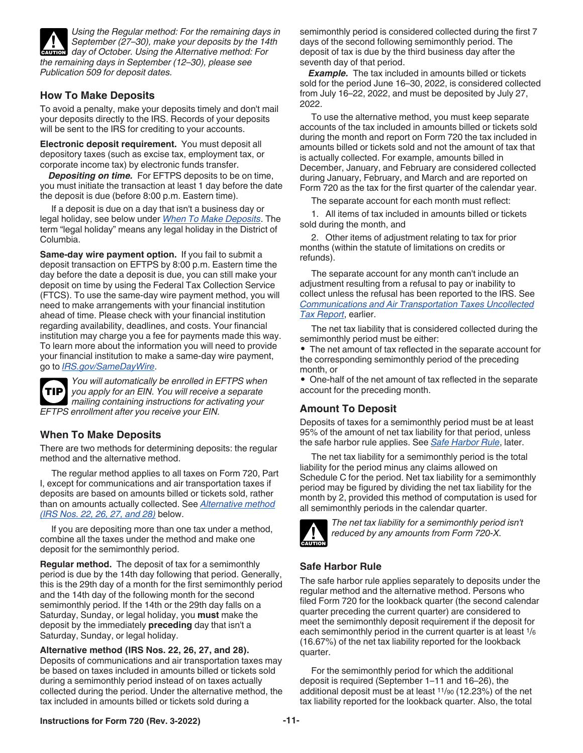<span id="page-10-0"></span>

### **How To Make Deposits**

To avoid a penalty, make your deposits timely and don't mail your deposits directly to the IRS. Records of your deposits will be sent to the IRS for crediting to your accounts.

**Electronic deposit requirement.** You must deposit all depository taxes (such as excise tax, employment tax, or corporate income tax) by electronic funds transfer.

*Depositing on time.* For EFTPS deposits to be on time, you must initiate the transaction at least 1 day before the date the deposit is due (before 8:00 p.m. Eastern time).

If a deposit is due on a day that isn't a business day or legal holiday, see below under *When To Make Deposits*. The term "legal holiday" means any legal holiday in the District of Columbia.

**Same-day wire payment option.** If you fail to submit a deposit transaction on EFTPS by 8:00 p.m. Eastern time the day before the date a deposit is due, you can still make your deposit on time by using the Federal Tax Collection Service (FTCS). To use the same-day wire payment method, you will need to make arrangements with your financial institution ahead of time. Please check with your financial institution regarding availability, deadlines, and costs. Your financial institution may charge you a fee for payments made this way. To learn more about the information you will need to provide your financial institution to make a same-day wire payment, go to *[IRS.gov/SameDayWire](https://www.irs.gov/samedaywire)*.



*You will automatically be enrolled in EFTPS when you apply for an EIN. You will receive a separate mailing containing instructions for activating your EFTPS enrollment after you receive your EIN.*

### **When To Make Deposits**

There are two methods for determining deposits: the regular method and the alternative method.

The regular method applies to all taxes on Form 720, Part I, except for communications and air transportation taxes if deposits are based on amounts billed or tickets sold, rather than on amounts actually collected. See *Alternative method (IRS Nos. 22, 26, 27, and 28)* below.

If you are depositing more than one tax under a method, combine all the taxes under the method and make one deposit for the semimonthly period.

**Regular method.** The deposit of tax for a semimonthly period is due by the 14th day following that period. Generally, this is the 29th day of a month for the first semimonthly period and the 14th day of the following month for the second semimonthly period. If the 14th or the 29th day falls on a Saturday, Sunday, or legal holiday, you **must** make the deposit by the immediately **preceding** day that isn't a Saturday, Sunday, or legal holiday.

**Alternative method (IRS Nos. 22, 26, 27, and 28).**  Deposits of communications and air transportation taxes may be based on taxes included in amounts billed or tickets sold during a semimonthly period instead of on taxes actually collected during the period. Under the alternative method, the tax included in amounts billed or tickets sold during a

semimonthly period is considered collected during the first 7 days of the second following semimonthly period. The deposit of tax is due by the third business day after the seventh day of that period.

*Example.* The tax included in amounts billed or tickets sold for the period June 16–30, 2022, is considered collected from July 16–22, 2022, and must be deposited by July 27, 2022.

To use the alternative method, you must keep separate accounts of the tax included in amounts billed or tickets sold during the month and report on Form 720 the tax included in amounts billed or tickets sold and not the amount of tax that is actually collected. For example, amounts billed in December, January, and February are considered collected during January, February, and March and are reported on Form 720 as the tax for the first quarter of the calendar year.

The separate account for each month must reflect:

1. All items of tax included in amounts billed or tickets sold during the month, and

2. Other items of adjustment relating to tax for prior months (within the statute of limitations on credits or refunds).

The separate account for any month can't include an adjustment resulting from a refusal to pay or inability to collect unless the refusal has been reported to the IRS. See *[Communications and Air Transportation Taxes Uncollected](#page-3-0) [Tax Report](#page-3-0)*, earlier.

The net tax liability that is considered collected during the semimonthly period must be either:

• The net amount of tax reflected in the separate account for the corresponding semimonthly period of the preceding month, or

• One-half of the net amount of tax reflected in the separate account for the preceding month.

### **Amount To Deposit**

Deposits of taxes for a semimonthly period must be at least 95% of the amount of net tax liability for that period, unless the safe harbor rule applies. See *Safe Harbor Rule*, later.

The net tax liability for a semimonthly period is the total liability for the period minus any claims allowed on Schedule C for the period. Net tax liability for a semimonthly period may be figured by dividing the net tax liability for the month by 2, provided this method of computation is used for all semimonthly periods in the calendar quarter.



*The net tax liability for a semimonthly period isn't reduced by any amounts from Form 720-X.*

### **Safe Harbor Rule**

The safe harbor rule applies separately to deposits under the regular method and the alternative method. Persons who filed Form 720 for the lookback quarter (the second calendar quarter preceding the current quarter) are considered to meet the semimonthly deposit requirement if the deposit for each semimonthly period in the current quarter is at least 1/<sup>6</sup> (16.67%) of the net tax liability reported for the lookback quarter.

For the semimonthly period for which the additional deposit is required (September 1–11 and 16–26), the additional deposit must be at least 11/90 (12.23%) of the net tax liability reported for the lookback quarter. Also, the total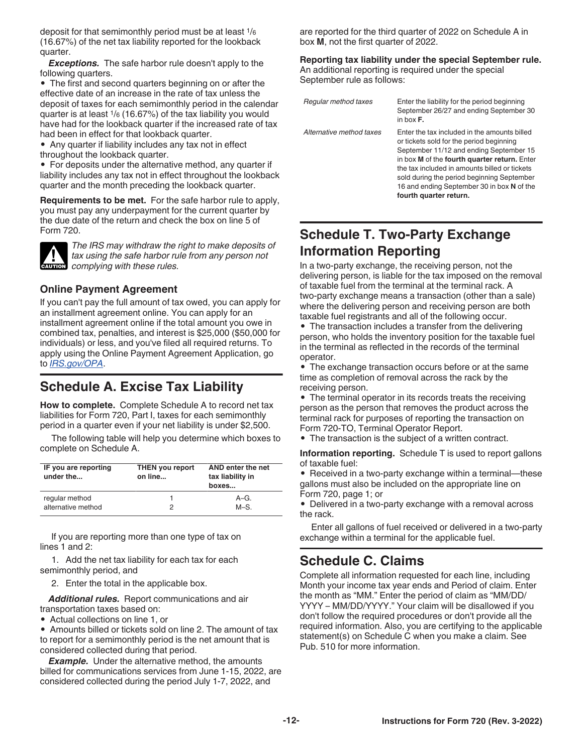<span id="page-11-0"></span>deposit for that semimonthly period must be at least 1/<sup>6</sup> (16.67%) of the net tax liability reported for the lookback quarter.

*Exceptions.* The safe harbor rule doesn't apply to the following quarters.

• The first and second quarters beginning on or after the effective date of an increase in the rate of tax unless the deposit of taxes for each semimonthly period in the calendar quarter is at least 1/6 (16.67%) of the tax liability you would have had for the lookback quarter if the increased rate of tax had been in effect for that lookback quarter.

• Any quarter if liability includes any tax not in effect throughout the lookback quarter.

• For deposits under the alternative method, any quarter if liability includes any tax not in effect throughout the lookback quarter and the month preceding the lookback quarter.

**Requirements to be met.** For the safe harbor rule to apply, you must pay any underpayment for the current quarter by the due date of the return and check the box on line 5 of Form 720.



*The IRS may withdraw the right to make deposits of tax using the safe harbor rule from any person not*  **caution** *complying with these rules.* 

### **Online Payment Agreement**

If you can't pay the full amount of tax owed, you can apply for an installment agreement online. You can apply for an installment agreement online if the total amount you owe in combined tax, penalties, and interest is \$25,000 (\$50,000 for individuals) or less, and you've filed all required returns. To apply using the Online Payment Agreement Application, go to *[IRS.gov/OPA](https://www.irs.gov/opa)*.

### **Schedule A. Excise Tax Liability**

**How to complete.** Complete Schedule A to record net tax liabilities for Form 720, Part I, taxes for each semimonthly period in a quarter even if your net liability is under \$2,500.

The following table will help you determine which boxes to complete on Schedule A.

| IF you are reporting<br>under the | <b>THEN you report</b><br>on line | AND enter the net<br>tax liability in<br>boxes |
|-----------------------------------|-----------------------------------|------------------------------------------------|
| regular method                    |                                   | $A-G.$                                         |
| alternative method                | 2                                 | $M-S$ .                                        |

If you are reporting more than one type of tax on lines 1 and 2:

1. Add the net tax liability for each tax for each semimonthly period, and

2. Enter the total in the applicable box.

*Additional rules.* Report communications and air transportation taxes based on:

• Actual collections on line 1, or

• Amounts billed or tickets sold on line 2. The amount of tax to report for a semimonthly period is the net amount that is considered collected during that period.

**Example.** Under the alternative method, the amounts billed for communications services from June 1-15, 2022, are considered collected during the period July 1-7, 2022, and

are reported for the third quarter of 2022 on Schedule A in box **M**, not the first quarter of 2022.

**Reporting tax liability under the special September rule.**  An additional reporting is required under the special September rule as follows:

| Regular method taxes     | Enter the liability for the period beginning<br>September 26/27 and ending September 30<br>in hox $F$ .                                                                                                                                                                                                                                                    |
|--------------------------|------------------------------------------------------------------------------------------------------------------------------------------------------------------------------------------------------------------------------------------------------------------------------------------------------------------------------------------------------------|
| Alternative method taxes | Enter the tax included in the amounts billed<br>or tickets sold for the period beginning<br>September 11/12 and ending September 15<br>in box M of the fourth quarter return. Enter<br>the tax included in amounts billed or tickets<br>sold during the period beginning September<br>16 and ending September 30 in box N of the<br>fourth quarter return. |

### **Schedule T. Two-Party Exchange Information Reporting**

In a two-party exchange, the receiving person, not the delivering person, is liable for the tax imposed on the removal of taxable fuel from the terminal at the terminal rack. A two-party exchange means a transaction (other than a sale) where the delivering person and receiving person are both taxable fuel registrants and all of the following occur.

• The transaction includes a transfer from the delivering person, who holds the inventory position for the taxable fuel in the terminal as reflected in the records of the terminal operator.

• The exchange transaction occurs before or at the same time as completion of removal across the rack by the receiving person.

• The terminal operator in its records treats the receiving person as the person that removes the product across the terminal rack for purposes of reporting the transaction on Form 720-TO, Terminal Operator Report.

• The transaction is the subject of a written contract.

**Information reporting.** Schedule T is used to report gallons of taxable fuel:

• Received in a two-party exchange within a terminal—these gallons must also be included on the appropriate line on Form 720, page 1; or

• Delivered in a two-party exchange with a removal across the rack.

Enter all gallons of fuel received or delivered in a two-party exchange within a terminal for the applicable fuel.

### **Schedule C. Claims**

Complete all information requested for each line, including Month your income tax year ends and Period of claim. Enter the month as "MM." Enter the period of claim as "MM/DD/ YYYY – MM/DD/YYYY." Your claim will be disallowed if you don't follow the required procedures or don't provide all the required information. Also, you are certifying to the applicable statement(s) on Schedule C when you make a claim. See Pub. 510 for more information.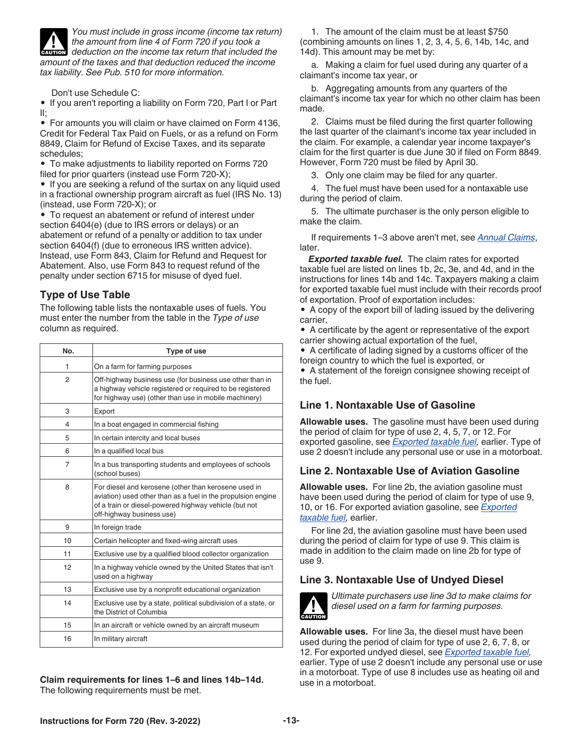<span id="page-12-0"></span>

*You must include in gross income (income tax return) the amount from line 4 of Form 720 if you took a deduction on the income tax return that included the amount of the taxes and that deduction reduced the income tax liability. See Pub. 510 for more information.* **CAUTION**

Don't use Schedule C:

• If you aren't reporting a liability on Form 720, Part I or Part II;

• For amounts you will claim or have claimed on Form 4136, Credit for Federal Tax Paid on Fuels, or as a refund on Form 8849, Claim for Refund of Excise Taxes, and its separate schedules;

• To make adjustments to liability reported on Forms 720 filed for prior quarters (instead use Form 720-X);

• If you are seeking a refund of the surtax on any liquid used in a fractional ownership program aircraft as fuel (IRS No. 13) (instead, use Form 720-X); or

• To request an abatement or refund of interest under section 6404(e) (due to IRS errors or delays) or an abatement or refund of a penalty or addition to tax under section 6404(f) (due to erroneous IRS written advice). Instead, use Form 843, Claim for Refund and Request for Abatement. Also, use Form 843 to request refund of the penalty under section 6715 for misuse of dyed fuel.

### **Type of Use Table**

The following table lists the nontaxable uses of fuels. You must enter the number from the table in the *Type of use*  column as required.

| No.            | Type of use                                                                                                                                                                                                |
|----------------|------------------------------------------------------------------------------------------------------------------------------------------------------------------------------------------------------------|
| 1              | On a farm for farming purposes                                                                                                                                                                             |
| 2              | Off-highway business use (for business use other than in<br>a highway vehicle registered or required to be registered<br>for highway use) (other than use in mobile machinery)                             |
| 3              | Export                                                                                                                                                                                                     |
| 4              | In a boat engaged in commercial fishing                                                                                                                                                                    |
| 5              | In certain intercity and local buses                                                                                                                                                                       |
| 6              | In a qualified local bus                                                                                                                                                                                   |
| $\overline{7}$ | In a bus transporting students and employees of schools<br>(school buses)                                                                                                                                  |
| 8              | For diesel and kerosene (other than kerosene used in<br>aviation) used other than as a fuel in the propulsion engine<br>of a train or diesel-powered highway vehicle (but not<br>off-highway business use) |
| 9              | In foreign trade                                                                                                                                                                                           |
| 10             | Certain helicopter and fixed-wing aircraft uses                                                                                                                                                            |
| 11             | Exclusive use by a qualified blood collector organization                                                                                                                                                  |
| 12             | In a highway vehicle owned by the United States that isn't<br>used on a highway                                                                                                                            |
| 13             | Exclusive use by a nonprofit educational organization                                                                                                                                                      |
| 14             | Exclusive use by a state, political subdivision of a state, or<br>the District of Columbia                                                                                                                 |
| 15             | In an aircraft or vehicle owned by an aircraft museum                                                                                                                                                      |
| 16             | In military aircraft                                                                                                                                                                                       |

**Claim requirements for lines 1–6 and lines 14b–14d.**  The following requirements must be met.

1. The amount of the claim must be at least \$750 (combining amounts on lines 1, 2, 3, 4, 5, 6, 14b, 14c, and 14d). This amount may be met by:

a. Making a claim for fuel used during any quarter of a claimant's income tax year, or

b. Aggregating amounts from any quarters of the claimant's income tax year for which no other claim has been made.

2. Claims must be filed during the first quarter following the last quarter of the claimant's income tax year included in the claim. For example, a calendar year income taxpayer's claim for the first quarter is due June 30 if filed on Form 8849. However, Form 720 must be filed by April 30.

3. Only one claim may be filed for any quarter.

4. The fuel must have been used for a nontaxable use during the period of claim.

5. The ultimate purchaser is the only person eligible to make the claim.

If requirements 1–3 above aren't met, see *Annual Claims*, later.

*Exported taxable fuel.* The claim rates for exported taxable fuel are listed on lines 1b, 2c, 3e, and 4d, and in the instructions for lines 14b and 14c. Taxpayers making a claim for exported taxable fuel must include with their records proof of exportation. Proof of exportation includes:

• A copy of the export bill of lading issued by the delivering carrier,

• A certificate by the agent or representative of the export carrier showing actual exportation of the fuel,

• A certificate of lading signed by a customs officer of the foreign country to which the fuel is exported, or

• A statement of the foreign consignee showing receipt of the fuel.

### **Line 1. Nontaxable Use of Gasoline**

**Allowable uses.** The gasoline must have been used during the period of claim for type of use 2, 4, 5, 7, or 12. For exported gasoline, see *Exported taxable fuel,* earlier. Type of use 2 doesn't include any personal use or use in a motorboat.

### **Line 2. Nontaxable Use of Aviation Gasoline**

**Allowable uses.** For line 2b, the aviation gasoline must have been used during the period of claim for type of use 9, 10, or 16. For exported aviation gasoline, see *Exported taxable fuel,* earlier.

For line 2d, the aviation gasoline must have been used during the period of claim for type of use 9. This claim is made in addition to the claim made on line 2b for type of use 9.

### **Line 3. Nontaxable Use of Undyed Diesel**



*Ultimate purchasers use line 3d to make claims for diesel used on a farm for farming purposes.*

**Allowable uses.** For line 3a, the diesel must have been used during the period of claim for type of use 2, 6, 7, 8, or 12. For exported undyed diesel, see *Exported taxable fuel,*  earlier. Type of use 2 doesn't include any personal use or use in a motorboat. Type of use 8 includes use as heating oil and use in a motorboat.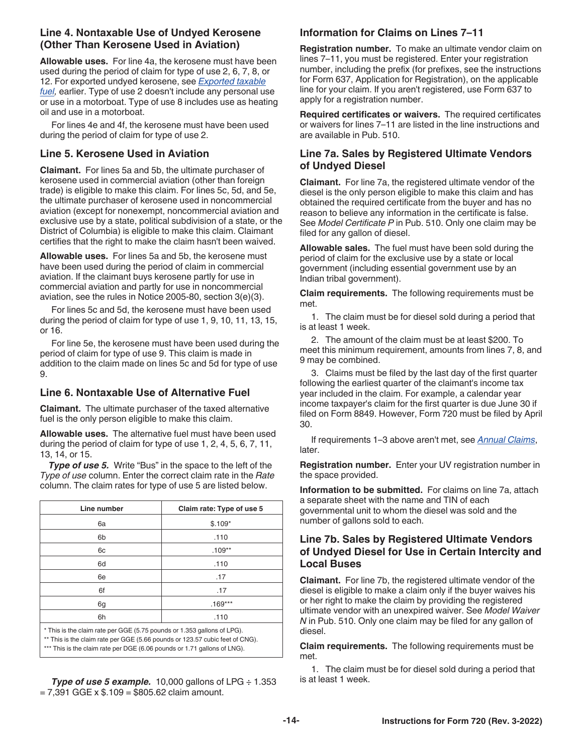### **Line 4. Nontaxable Use of Undyed Kerosene (Other Than Kerosene Used in Aviation)**

**Allowable uses.** For line 4a, the kerosene must have been used during the period of claim for type of use 2, 6, 7, 8, or 12. For exported undyed kerosene, see *[Exported taxable](#page-12-0) [fuel](#page-12-0),* earlier. Type of use 2 doesn't include any personal use or use in a motorboat. Type of use 8 includes use as heating oil and use in a motorboat.

For lines 4e and 4f, the kerosene must have been used during the period of claim for type of use 2.

### **Line 5. Kerosene Used in Aviation**

**Claimant.** For lines 5a and 5b, the ultimate purchaser of kerosene used in commercial aviation (other than foreign trade) is eligible to make this claim. For lines 5c, 5d, and 5e, the ultimate purchaser of kerosene used in noncommercial aviation (except for nonexempt, noncommercial aviation and exclusive use by a state, political subdivision of a state, or the District of Columbia) is eligible to make this claim. Claimant certifies that the right to make the claim hasn't been waived.

**Allowable uses.** For lines 5a and 5b, the kerosene must have been used during the period of claim in commercial aviation. If the claimant buys kerosene partly for use in commercial aviation and partly for use in noncommercial aviation, see the rules in Notice 2005-80, section 3(e)(3).

For lines 5c and 5d, the kerosene must have been used during the period of claim for type of use 1, 9, 10, 11, 13, 15, or 16.

For line 5e, the kerosene must have been used during the period of claim for type of use 9. This claim is made in addition to the claim made on lines 5c and 5d for type of use 9.

### **Line 6. Nontaxable Use of Alternative Fuel**

**Claimant.** The ultimate purchaser of the taxed alternative fuel is the only person eligible to make this claim.

**Allowable uses.** The alternative fuel must have been used during the period of claim for type of use 1, 2, 4, 5, 6, 7, 11, 13, 14, or 15.

**Type of use 5.** Write "Bus" in the space to the left of the *Type of use* column. Enter the correct claim rate in the *Rate*  column. The claim rates for type of use 5 are listed below.

| Line number                                                             | Claim rate: Type of use 5 |  |
|-------------------------------------------------------------------------|---------------------------|--|
| 6a                                                                      | $$.109*$                  |  |
| 6b                                                                      | .110                      |  |
| 6c                                                                      | $.109**$                  |  |
| 6d                                                                      | .110                      |  |
| 6e                                                                      | .17                       |  |
| 6f                                                                      | .17                       |  |
| 6g                                                                      | $.169***$                 |  |
| 6h                                                                      | .110                      |  |
| * This is the claim rate per GGE (5.75 pounds or 1.353 gallons of LPG). |                           |  |

\*\* This is the claim rate per GGE (5.66 pounds or 123.57 cubic feet of CNG). \*\*\* This is the claim rate per DGE (6.06 pounds or 1.71 gallons of LNG).

*Type of use 5 example.* 10,000 gallons of LPG ÷ 1.353  $= 7,391$  GGE x  $$.109 = $805.62$  claim amount.

### **Information for Claims on Lines 7–11**

**Registration number.** To make an ultimate vendor claim on lines 7–11, you must be registered. Enter your registration number, including the prefix (for prefixes, see the instructions for Form 637, Application for Registration), on the applicable line for your claim. If you aren't registered, use Form 637 to apply for a registration number.

**Required certificates or waivers.** The required certificates or waivers for lines 7–11 are listed in the line instructions and are available in Pub. 510.

### **Line 7a. Sales by Registered Ultimate Vendors of Undyed Diesel**

**Claimant.** For line 7a, the registered ultimate vendor of the diesel is the only person eligible to make this claim and has obtained the required certificate from the buyer and has no reason to believe any information in the certificate is false. See *Model Certificate P* in Pub. 510. Only one claim may be filed for any gallon of diesel.

**Allowable sales.** The fuel must have been sold during the period of claim for the exclusive use by a state or local government (including essential government use by an Indian tribal government).

**Claim requirements.** The following requirements must be met.

1. The claim must be for diesel sold during a period that is at least 1 week.

2. The amount of the claim must be at least \$200. To meet this minimum requirement, amounts from lines 7, 8, and 9 may be combined.

3. Claims must be filed by the last day of the first quarter following the earliest quarter of the claimant's income tax year included in the claim. For example, a calendar year income taxpayer's claim for the first quarter is due June 30 if filed on Form 8849. However, Form 720 must be filed by April 30.

If requirements 1–3 above aren't met, see *Annual Claims*, later.

**Registration number.** Enter your UV registration number in the space provided.

**Information to be submitted.** For claims on line 7a, attach a separate sheet with the name and TIN of each governmental unit to whom the diesel was sold and the number of gallons sold to each.

### **Line 7b. Sales by Registered Ultimate Vendors of Undyed Diesel for Use in Certain Intercity and Local Buses**

**Claimant.** For line 7b, the registered ultimate vendor of the diesel is eligible to make a claim only if the buyer waives his or her right to make the claim by providing the registered ultimate vendor with an unexpired waiver. See *Model Waiver N* in Pub. 510. Only one claim may be filed for any gallon of diesel.

**Claim requirements.** The following requirements must be met.

1. The claim must be for diesel sold during a period that is at least 1 week.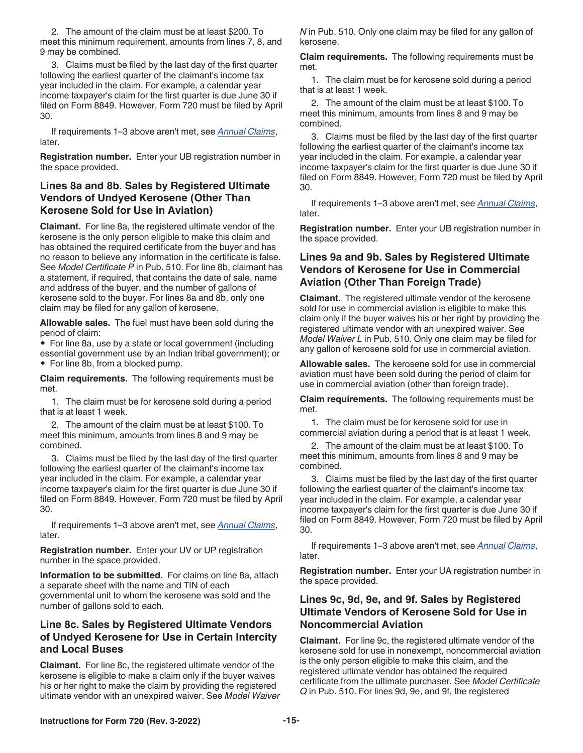2. The amount of the claim must be at least \$200. To meet this minimum requirement, amounts from lines 7, 8, and 9 may be combined.

3. Claims must be filed by the last day of the first quarter following the earliest quarter of the claimant's income tax year included in the claim. For example, a calendar year income taxpayer's claim for the first quarter is due June 30 if filed on Form 8849. However, Form 720 must be filed by April 30.

If requirements 1–3 above aren't met, see *Annual Claims*, later.

**Registration number.** Enter your UB registration number in the space provided.

### **Lines 8a and 8b. Sales by Registered Ultimate Vendors of Undyed Kerosene (Other Than Kerosene Sold for Use in Aviation)**

**Claimant.** For line 8a, the registered ultimate vendor of the kerosene is the only person eligible to make this claim and has obtained the required certificate from the buyer and has no reason to believe any information in the certificate is false. See *Model Certificate P* in Pub. 510. For line 8b, claimant has a statement, if required, that contains the date of sale, name and address of the buyer, and the number of gallons of kerosene sold to the buyer. For lines 8a and 8b, only one claim may be filed for any gallon of kerosene.

**Allowable sales.** The fuel must have been sold during the period of claim:

• For line 8a, use by a state or local government (including essential government use by an Indian tribal government); or • For line 8b, from a blocked pump.

**Claim requirements.** The following requirements must be met.

1. The claim must be for kerosene sold during a period that is at least 1 week.

2. The amount of the claim must be at least \$100. To meet this minimum, amounts from lines 8 and 9 may be combined.

3. Claims must be filed by the last day of the first quarter following the earliest quarter of the claimant's income tax year included in the claim. For example, a calendar year income taxpayer's claim for the first quarter is due June 30 if filed on Form 8849. However, Form 720 must be filed by April 30.

If requirements 1–3 above aren't met, see *Annual Claims*, later.

**Registration number.** Enter your UV or UP registration number in the space provided.

**Information to be submitted.** For claims on line 8a, attach a separate sheet with the name and TIN of each governmental unit to whom the kerosene was sold and the number of gallons sold to each.

### **Line 8c. Sales by Registered Ultimate Vendors of Undyed Kerosene for Use in Certain Intercity and Local Buses**

**Claimant.** For line 8c, the registered ultimate vendor of the kerosene is eligible to make a claim only if the buyer waives his or her right to make the claim by providing the registered ultimate vendor with an unexpired waiver. See *Model Waiver*  *N* in Pub. 510. Only one claim may be filed for any gallon of kerosene.

**Claim requirements.** The following requirements must be met.

1. The claim must be for kerosene sold during a period that is at least 1 week.

2. The amount of the claim must be at least \$100. To meet this minimum, amounts from lines 8 and 9 may be combined.

3. Claims must be filed by the last day of the first quarter following the earliest quarter of the claimant's income tax year included in the claim. For example, a calendar year income taxpayer's claim for the first quarter is due June 30 if filed on Form 8849. However, Form 720 must be filed by April 30.

If requirements 1–3 above aren't met, see *Annual Claims*, later.

**Registration number.** Enter your UB registration number in the space provided.

### **Lines 9a and 9b. Sales by Registered Ultimate Vendors of Kerosene for Use in Commercial Aviation (Other Than Foreign Trade)**

**Claimant.** The registered ultimate vendor of the kerosene sold for use in commercial aviation is eligible to make this claim only if the buyer waives his or her right by providing the registered ultimate vendor with an unexpired waiver. See *Model Waiver L* in Pub. 510. Only one claim may be filed for any gallon of kerosene sold for use in commercial aviation.

**Allowable sales.** The kerosene sold for use in commercial aviation must have been sold during the period of claim for use in commercial aviation (other than foreign trade).

**Claim requirements.** The following requirements must be met.

1. The claim must be for kerosene sold for use in commercial aviation during a period that is at least 1 week.

2. The amount of the claim must be at least \$100. To meet this minimum, amounts from lines 8 and 9 may be combined.

3. Claims must be filed by the last day of the first quarter following the earliest quarter of the claimant's income tax year included in the claim. For example, a calendar year income taxpayer's claim for the first quarter is due June 30 if filed on Form 8849. However, Form 720 must be filed by April 30.

If requirements 1–3 above aren't met, see *Annual Claims*, later.

**Registration number.** Enter your UA registration number in the space provided.

### **Lines 9c, 9d, 9e, and 9f. Sales by Registered Ultimate Vendors of Kerosene Sold for Use in Noncommercial Aviation**

**Claimant.** For line 9c, the registered ultimate vendor of the kerosene sold for use in nonexempt, noncommercial aviation is the only person eligible to make this claim, and the registered ultimate vendor has obtained the required certificate from the ultimate purchaser. See *Model Certificate Q* in Pub. 510. For lines 9d, 9e, and 9f, the registered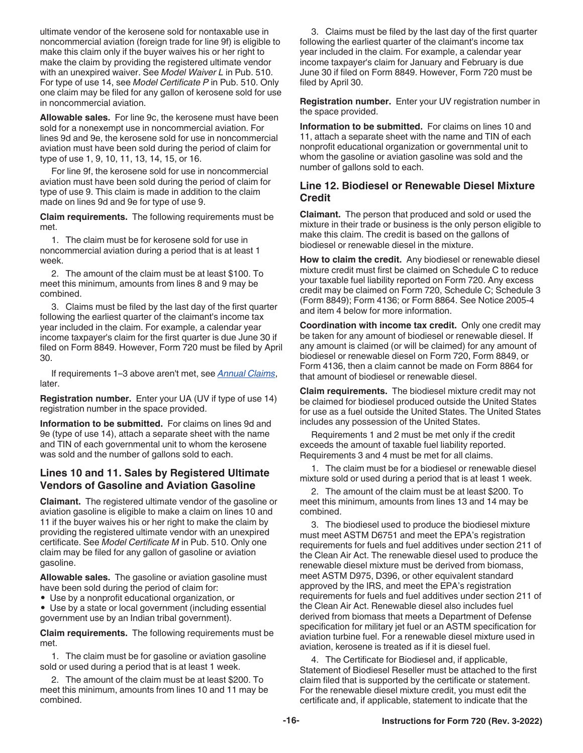ultimate vendor of the kerosene sold for nontaxable use in noncommercial aviation (foreign trade for line 9f) is eligible to make this claim only if the buyer waives his or her right to make the claim by providing the registered ultimate vendor with an unexpired waiver. See *Model Waiver L* in Pub. 510. For type of use 14, see *Model Certificate P* in Pub. 510. Only one claim may be filed for any gallon of kerosene sold for use in noncommercial aviation.

**Allowable sales.** For line 9c, the kerosene must have been sold for a nonexempt use in noncommercial aviation. For lines 9d and 9e, the kerosene sold for use in noncommercial aviation must have been sold during the period of claim for type of use 1, 9, 10, 11, 13, 14, 15, or 16.

For line 9f, the kerosene sold for use in noncommercial aviation must have been sold during the period of claim for type of use 9. This claim is made in addition to the claim made on lines 9d and 9e for type of use 9.

**Claim requirements.** The following requirements must be met.

1. The claim must be for kerosene sold for use in noncommercial aviation during a period that is at least 1 week.

2. The amount of the claim must be at least \$100. To meet this minimum, amounts from lines 8 and 9 may be combined.

3. Claims must be filed by the last day of the first quarter following the earliest quarter of the claimant's income tax year included in the claim. For example, a calendar year income taxpayer's claim for the first quarter is due June 30 if filed on Form 8849. However, Form 720 must be filed by April 30.

If requirements 1–3 above aren't met, see *Annual Claims*, later.

**Registration number.** Enter your UA (UV if type of use 14) registration number in the space provided.

**Information to be submitted.** For claims on lines 9d and 9e (type of use 14), attach a separate sheet with the name and TIN of each governmental unit to whom the kerosene was sold and the number of gallons sold to each.

### **Lines 10 and 11. Sales by Registered Ultimate Vendors of Gasoline and Aviation Gasoline**

**Claimant.** The registered ultimate vendor of the gasoline or aviation gasoline is eligible to make a claim on lines 10 and 11 if the buyer waives his or her right to make the claim by providing the registered ultimate vendor with an unexpired certificate. See *Model Certificate M* in Pub. 510. Only one claim may be filed for any gallon of gasoline or aviation gasoline.

**Allowable sales.** The gasoline or aviation gasoline must have been sold during the period of claim for:

• Use by a nonprofit educational organization, or

• Use by a state or local government (including essential government use by an Indian tribal government).

**Claim requirements.** The following requirements must be met.

1. The claim must be for gasoline or aviation gasoline sold or used during a period that is at least 1 week.

2. The amount of the claim must be at least \$200. To meet this minimum, amounts from lines 10 and 11 may be combined.

3. Claims must be filed by the last day of the first quarter following the earliest quarter of the claimant's income tax year included in the claim. For example, a calendar year income taxpayer's claim for January and February is due June 30 if filed on Form 8849. However, Form 720 must be filed by April 30.

**Registration number.** Enter your UV registration number in the space provided.

**Information to be submitted.** For claims on lines 10 and 11, attach a separate sheet with the name and TIN of each nonprofit educational organization or governmental unit to whom the gasoline or aviation gasoline was sold and the number of gallons sold to each.

### **Line 12. Biodiesel or Renewable Diesel Mixture Credit**

**Claimant.** The person that produced and sold or used the mixture in their trade or business is the only person eligible to make this claim. The credit is based on the gallons of biodiesel or renewable diesel in the mixture.

**How to claim the credit.** Any biodiesel or renewable diesel mixture credit must first be claimed on Schedule C to reduce your taxable fuel liability reported on Form 720. Any excess credit may be claimed on Form 720, Schedule C; Schedule 3 (Form 8849); Form 4136; or Form 8864. See Notice 2005-4 and item 4 below for more information.

**Coordination with income tax credit.** Only one credit may be taken for any amount of biodiesel or renewable diesel. If any amount is claimed (or will be claimed) for any amount of biodiesel or renewable diesel on Form 720, Form 8849, or Form 4136, then a claim cannot be made on Form 8864 for that amount of biodiesel or renewable diesel.

**Claim requirements.** The biodiesel mixture credit may not be claimed for biodiesel produced outside the United States for use as a fuel outside the United States. The United States includes any possession of the United States.

Requirements 1 and 2 must be met only if the credit exceeds the amount of taxable fuel liability reported. Requirements 3 and 4 must be met for all claims.

1. The claim must be for a biodiesel or renewable diesel mixture sold or used during a period that is at least 1 week.

2. The amount of the claim must be at least \$200. To meet this minimum, amounts from lines 13 and 14 may be combined.

3. The biodiesel used to produce the biodiesel mixture must meet ASTM D6751 and meet the EPA's registration requirements for fuels and fuel additives under section 211 of the Clean Air Act. The renewable diesel used to produce the renewable diesel mixture must be derived from biomass, meet ASTM D975, D396, or other equivalent standard approved by the IRS, and meet the EPA's registration requirements for fuels and fuel additives under section 211 of the Clean Air Act. Renewable diesel also includes fuel derived from biomass that meets a Department of Defense specification for military jet fuel or an ASTM specification for aviation turbine fuel. For a renewable diesel mixture used in aviation, kerosene is treated as if it is diesel fuel.

4. The Certificate for Biodiesel and, if applicable, Statement of Biodiesel Reseller must be attached to the first claim filed that is supported by the certificate or statement. For the renewable diesel mixture credit, you must edit the certificate and, if applicable, statement to indicate that the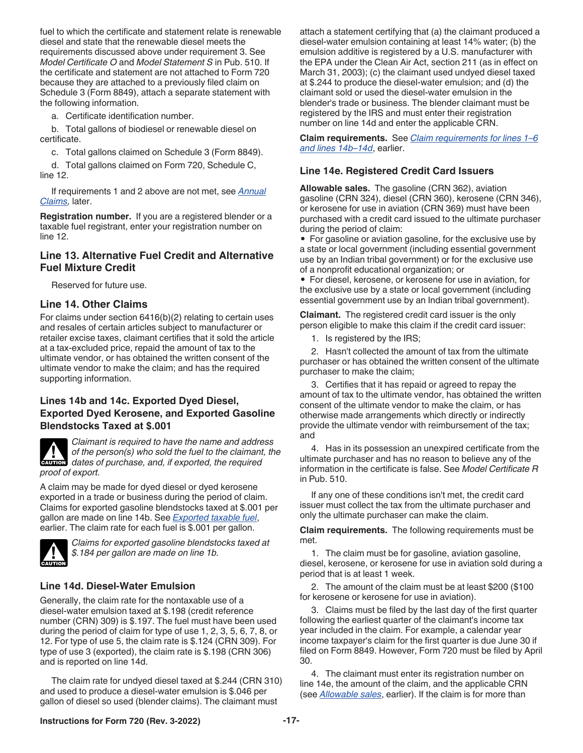fuel to which the certificate and statement relate is renewable diesel and state that the renewable diesel meets the requirements discussed above under requirement 3. See *Model Certificate O* and *Model Statement S* in Pub. 510. If the certificate and statement are not attached to Form 720 because they are attached to a previously filed claim on Schedule 3 (Form 8849), attach a separate statement with the following information.

a. Certificate identification number.

b. Total gallons of biodiesel or renewable diesel on certificate.

c. Total gallons claimed on Schedule 3 (Form 8849).

d. Total gallons claimed on Form 720, Schedule C, line 12.

If requirements 1 and 2 above are not met, see *Annual Claims,* later.

**Registration number.** If you are a registered blender or a taxable fuel registrant, enter your registration number on line 12.

### **Line 13. Alternative Fuel Credit and Alternative Fuel Mixture Credit**

Reserved for future use.

#### **Line 14. Other Claims**

For claims under section 6416(b)(2) relating to certain uses and resales of certain articles subject to manufacturer or retailer excise taxes, claimant certifies that it sold the article at a tax-excluded price, repaid the amount of tax to the ultimate vendor, or has obtained the written consent of the ultimate vendor to make the claim; and has the required supporting information.

### **Lines 14b and 14c. Exported Dyed Diesel, Exported Dyed Kerosene, and Exported Gasoline Blendstocks Taxed at \$.001**



*Claimant is required to have the name and address of the person(s) who sold the fuel to the claimant, the*  of the person(s) who sold the fuel to the claimant, and, if exported, the required *proof of export.*

A claim may be made for dyed diesel or dyed kerosene exported in a trade or business during the period of claim. Claims for exported gasoline blendstocks taxed at \$.001 per gallon are made on line 14b. See *[Exported taxable fuel](#page-12-0)*, earlier. The claim rate for each fuel is \$.001 per gallon.



*Claims for exported gasoline blendstocks taxed at \$.184 per gallon are made on line 1b.*

### **Line 14d. Diesel-Water Emulsion**

Generally, the claim rate for the nontaxable use of a diesel-water emulsion taxed at \$.198 (credit reference number (CRN) 309) is \$.197. The fuel must have been used during the period of claim for type of use 1, 2, 3, 5, 6, 7, 8, or 12. For type of use 5, the claim rate is \$.124 (CRN 309). For type of use 3 (exported), the claim rate is \$.198 (CRN 306) and is reported on line 14d.

The claim rate for undyed diesel taxed at \$.244 (CRN 310) and used to produce a diesel-water emulsion is \$.046 per gallon of diesel so used (blender claims). The claimant must

attach a statement certifying that (a) the claimant produced a diesel-water emulsion containing at least 14% water; (b) the emulsion additive is registered by a U.S. manufacturer with the EPA under the Clean Air Act, section 211 (as in effect on March 31, 2003); (c) the claimant used undyed diesel taxed at \$.244 to produce the diesel-water emulsion; and (d) the claimant sold or used the diesel-water emulsion in the blender's trade or business. The blender claimant must be registered by the IRS and must enter their registration number on line 14d and enter the applicable CRN.

**Claim requirements.** See *[Claim requirements for lines 1–6](#page-12-0) [and lines 14b–14d](#page-12-0)*, earlier.

#### **Line 14e. Registered Credit Card Issuers**

**Allowable sales.** The gasoline (CRN 362), aviation gasoline (CRN 324), diesel (CRN 360), kerosene (CRN 346), or kerosene for use in aviation (CRN 369) must have been purchased with a credit card issued to the ultimate purchaser during the period of claim:

• For gasoline or aviation gasoline, for the exclusive use by a state or local government (including essential government use by an Indian tribal government) or for the exclusive use of a nonprofit educational organization; or

• For diesel, kerosene, or kerosene for use in aviation, for the exclusive use by a state or local government (including essential government use by an Indian tribal government).

**Claimant.** The registered credit card issuer is the only person eligible to make this claim if the credit card issuer:

1. Is registered by the IRS;

2. Hasn't collected the amount of tax from the ultimate purchaser or has obtained the written consent of the ultimate purchaser to make the claim;

3. Certifies that it has repaid or agreed to repay the amount of tax to the ultimate vendor, has obtained the written consent of the ultimate vendor to make the claim, or has otherwise made arrangements which directly or indirectly provide the ultimate vendor with reimbursement of the tax; and

4. Has in its possession an unexpired certificate from the ultimate purchaser and has no reason to believe any of the information in the certificate is false. See *Model Certificate R*  in Pub. 510.

If any one of these conditions isn't met, the credit card issuer must collect the tax from the ultimate purchaser and only the ultimate purchaser can make the claim.

**Claim requirements.** The following requirements must be met.

1. The claim must be for gasoline, aviation gasoline, diesel, kerosene, or kerosene for use in aviation sold during a period that is at least 1 week.

2. The amount of the claim must be at least \$200 (\$100 for kerosene or kerosene for use in aviation).

3. Claims must be filed by the last day of the first quarter following the earliest quarter of the claimant's income tax year included in the claim. For example, a calendar year income taxpayer's claim for the first quarter is due June 30 if filed on Form 8849. However, Form 720 must be filed by April 30.

4. The claimant must enter its registration number on line 14e, the amount of the claim, and the applicable CRN (see *Allowable sales*, earlier). If the claim is for more than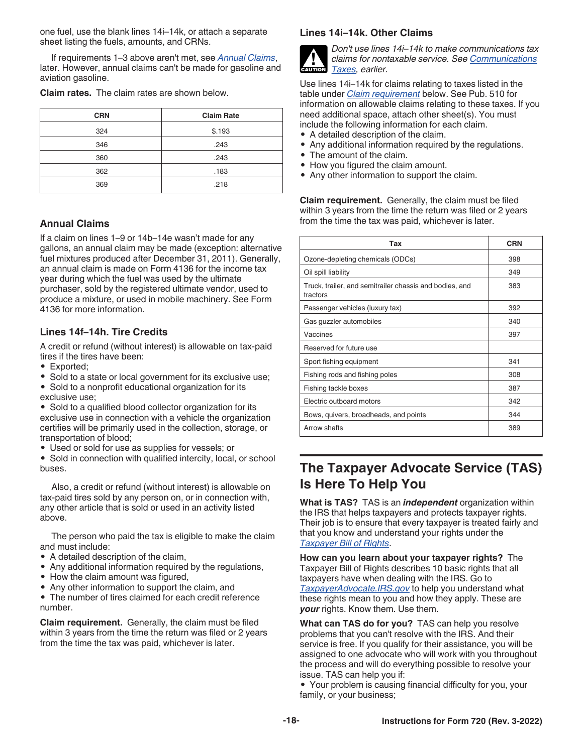<span id="page-17-0"></span>one fuel, use the blank lines 14i–14k, or attach a separate sheet listing the fuels, amounts, and CRNs.

If requirements 1–3 above aren't met, see *Annual Claims*, later. However, annual claims can't be made for gasoline and aviation gasoline.

**Claim rates.** The claim rates are shown below.

| <b>CRN</b> | <b>Claim Rate</b> |
|------------|-------------------|
| 324        | \$.193            |
| 346        | .243              |
| 360        | .243              |
| 362        | .183              |
| 369        | .218              |

### **Annual Claims**

If a claim on lines 1–9 or 14b–14e wasn't made for any gallons, an annual claim may be made (exception: alternative fuel mixtures produced after December 31, 2011). Generally, an annual claim is made on Form 4136 for the income tax year during which the fuel was used by the ultimate purchaser, sold by the registered ultimate vendor, used to produce a mixture, or used in mobile machinery. See Form 4136 for more information.

### **Lines 14f–14h. Tire Credits**

A credit or refund (without interest) is allowable on tax-paid tires if the tires have been:

- Exported;
- Sold to a state or local government for its exclusive use;

• Sold to a nonprofit educational organization for its exclusive use;

• Sold to a qualified blood collector organization for its exclusive use in connection with a vehicle the organization certifies will be primarily used in the collection, storage, or transportation of blood;

• Used or sold for use as supplies for vessels; or

• Sold in connection with qualified intercity, local, or school buses.

Also, a credit or refund (without interest) is allowable on tax-paid tires sold by any person on, or in connection with, any other article that is sold or used in an activity listed above.

The person who paid the tax is eligible to make the claim and must include:

- A detailed description of the claim,
- Any additional information required by the regulations,
- How the claim amount was figured.
- Any other information to support the claim, and

• The number of tires claimed for each credit reference number.

**Claim requirement.** Generally, the claim must be filed within 3 years from the time the return was filed or 2 years from the time the tax was paid, whichever is later.

#### **Lines 14i–14k. Other Claims**



*Don't use lines 14i–14k to make communications tax claims for nontaxable service. See [Communications](#page-3-0) [Taxes](#page-3-0), earlier.*

Use lines 14i–14k for claims relating to taxes listed in the table under *Claim requirement* below. See Pub. 510 for information on allowable claims relating to these taxes. If you need additional space, attach other sheet(s). You must include the following information for each claim.

- A detailed description of the claim.
- Any additional information required by the regulations.
- The amount of the claim.
- How you figured the claim amount.
- Any other information to support the claim.

**Claim requirement.** Generally, the claim must be filed within 3 years from the time the return was filed or 2 years from the time the tax was paid, whichever is later.

| Tax                                                                 | <b>CRN</b> |
|---------------------------------------------------------------------|------------|
| Ozone-depleting chemicals (ODCs)                                    | 398        |
| Oil spill liability                                                 | 349        |
| Truck, trailer, and semitrailer chassis and bodies, and<br>tractors | 383        |
| Passenger vehicles (luxury tax)                                     | 392        |
| Gas guzzler automobiles                                             | 340        |
| Vaccines                                                            | 397        |
| Reserved for future use                                             |            |
| Sport fishing equipment                                             | 341        |
| Fishing rods and fishing poles                                      | 308        |
| Fishing tackle boxes                                                | 387        |
| Electric outboard motors                                            | 342        |
| Bows, quivers, broadheads, and points                               | 344        |
| Arrow shafts                                                        | 389        |

### **The Taxpayer Advocate Service (TAS) Is Here To Help You**

**What is TAS?** TAS is an *independent* organization within the IRS that helps taxpayers and protects taxpayer rights. Their job is to ensure that every taxpayer is treated fairly and that you know and understand your rights under the *[Taxpayer Bill of Rights](https://www.taxpayeradvocate.irs.gov/get-help/taxpayer-rights/)*.

**How can you learn about your taxpayer rights?** The Taxpayer Bill of Rights describes 10 basic rights that all taxpayers have when dealing with the IRS. Go to *[TaxpayerAdvocate.IRS.gov](https://www.taxpayeradvocate.irs.gov/)* to help you understand what these rights mean to you and how they apply. These are *your* rights. Know them. Use them.

**What can TAS do for you?** TAS can help you resolve problems that you can't resolve with the IRS. And their service is free. If you qualify for their assistance, you will be assigned to one advocate who will work with you throughout the process and will do everything possible to resolve your issue. TAS can help you if:

• Your problem is causing financial difficulty for you, your family, or your business;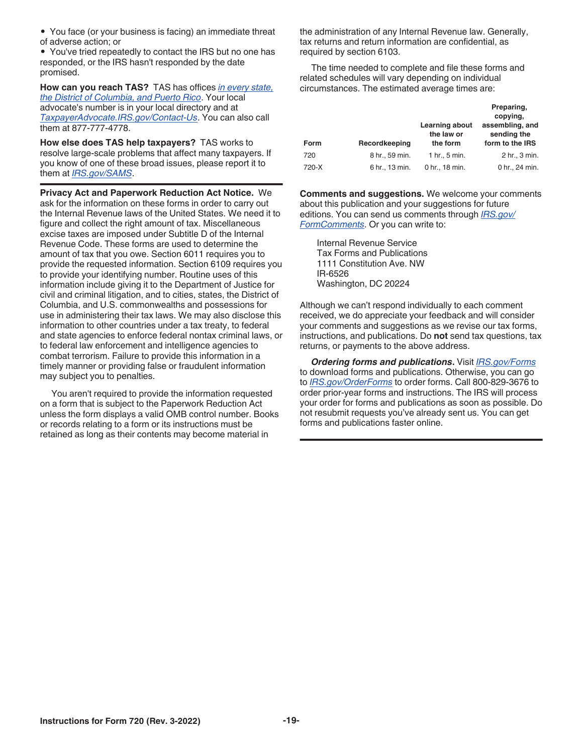• You face (or your business is facing) an immediate threat of adverse action; or

• You've tried repeatedly to contact the IRS but no one has responded, or the IRS hasn't responded by the date promised.

**How can you reach TAS?** TAS has offices *[in every state,](https://www.irs.gov/advocate/local-taxpayer-advocate) [the District of Columbia, and Puerto Rico](https://www.irs.gov/advocate/local-taxpayer-advocate)*. Your local advocate's number is in your local directory and at *[TaxpayerAdvocate.IRS.gov/Contact-Us](https://www.taxpayeradvocate.irs.gov/contact-us)*. You can also call them at 877-777-4778.

**How else does TAS help taxpayers?** TAS works to resolve large-scale problems that affect many taxpayers. If you know of one of these broad issues, please report it to them at *[IRS.gov/SAMS](https://www.irs.gov/sams)*.

**Privacy Act and Paperwork Reduction Act Notice.** We ask for the information on these forms in order to carry out the Internal Revenue laws of the United States. We need it to figure and collect the right amount of tax. Miscellaneous excise taxes are imposed under Subtitle D of the Internal Revenue Code. These forms are used to determine the amount of tax that you owe. Section 6011 requires you to provide the requested information. Section 6109 requires you to provide your identifying number. Routine uses of this information include giving it to the Department of Justice for civil and criminal litigation, and to cities, states, the District of Columbia, and U.S. commonwealths and possessions for use in administering their tax laws. We may also disclose this information to other countries under a tax treaty, to federal and state agencies to enforce federal nontax criminal laws, or to federal law enforcement and intelligence agencies to combat terrorism. Failure to provide this information in a timely manner or providing false or fraudulent information may subject you to penalties.

You aren't required to provide the information requested on a form that is subject to the Paperwork Reduction Act unless the form displays a valid OMB control number. Books or records relating to a form or its instructions must be retained as long as their contents may become material in

the administration of any Internal Revenue law. Generally, tax returns and return information are confidential, as required by section 6103.

The time needed to complete and file these forms and related schedules will vary depending on individual circumstances. The estimated average times are:

| Form  | Recordkeeping  | Learning about<br>the law or<br>the form | Preparing,<br>copying,<br>assembling, and<br>sending the<br>form to the IRS |
|-------|----------------|------------------------------------------|-----------------------------------------------------------------------------|
| 720   | 8 hr., 59 min. | 1 hr., 5 min.                            | 2 hr., 3 min.                                                               |
| 720-X | 6 hr., 13 min. | 0 hr., 18 min.                           | 0 hr., 24 min.                                                              |

**Comments and suggestions.** We welcome your comments about this publication and your suggestions for future editions. You can send us comments through *[IRS.gov/](https://www.irs.gov/formscomments) [FormComments](https://www.irs.gov/formscomments)*. Or you can write to:

Internal Revenue Service Tax Forms and Publications 1111 Constitution Ave. NW IR-6526 Washington, DC 20224

Although we can't respond individually to each comment received, we do appreciate your feedback and will consider your comments and suggestions as we revise our tax forms, instructions, and publications. Do **not** send tax questions, tax returns, or payments to the above address.

*Ordering forms and publications***.** Visit *[IRS.gov/Forms](https://www.irs.gov/formspubs)*  to download forms and publications. Otherwise, you can go to *[IRS.gov/OrderForms](https://www.irs.gov/orderforms)* to order forms. Call 800-829-3676 to order prior-year forms and instructions. The IRS will process your order for forms and publications as soon as possible. Do not resubmit requests you've already sent us. You can get forms and publications faster online.